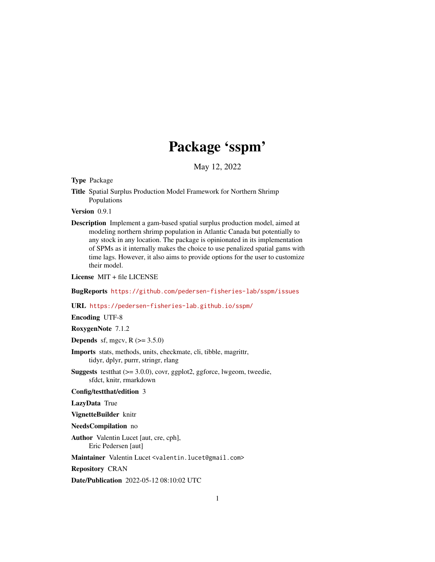## Package 'sspm'

May 12, 2022

<span id="page-0-0"></span>Type Package

Title Spatial Surplus Production Model Framework for Northern Shrimp Populations

Version 0.9.1

Description Implement a gam-based spatial surplus production model, aimed at modeling northern shrimp population in Atlantic Canada but potentially to any stock in any location. The package is opinionated in its implementation of SPMs as it internally makes the choice to use penalized spatial gams with time lags. However, it also aims to provide options for the user to customize their model.

License MIT + file LICENSE

BugReports <https://github.com/pedersen-fisheries-lab/sspm/issues>

URL <https://pedersen-fisheries-lab.github.io/sspm/>

Encoding UTF-8

RoxygenNote 7.1.2

**Depends** sf, mgcv,  $R$  ( $>= 3.5.0$ )

- Imports stats, methods, units, checkmate, cli, tibble, magrittr, tidyr, dplyr, purrr, stringr, rlang
- **Suggests** test that  $(>= 3.0.0)$ , covr, ggplot 2, ggforce, lwgeom, tweedie, sfdct, knitr, rmarkdown
- Config/testthat/edition 3

LazyData True

VignetteBuilder knitr

- NeedsCompilation no
- Author Valentin Lucet [aut, cre, cph], Eric Pedersen [aut]

Maintainer Valentin Lucet <valentin.lucet@gmail.com>

Repository CRAN

Date/Publication 2022-05-12 08:10:02 UTC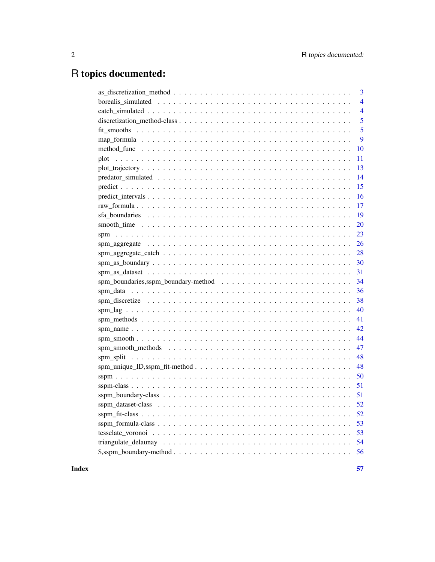## R topics documented:

| 3              |
|----------------|
| $\overline{4}$ |
| $\overline{4}$ |
| 5              |
| 5              |
| 9              |
| 10             |
| 11             |
| 13             |
| 14             |
| 15             |
| 16             |
| 17             |
| 19             |
| <b>20</b>      |
| 23             |
| 26             |
| 28             |
| 30             |
|                |
| 31             |
| 34             |
| 36             |
| 38             |
|                |
| 41             |
| 42             |
| 44             |
| 47             |
| 48             |
| 48             |
| 50             |
| -51            |
|                |
|                |
| 52             |
| 53             |
| 53             |
| 54             |
| 56             |

**Index**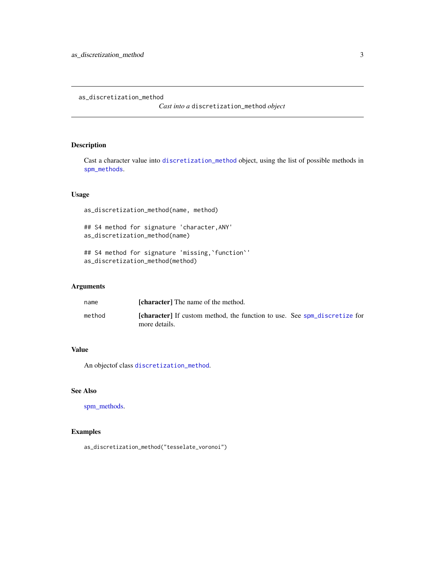<span id="page-2-0"></span>as\_discretization\_method

*Cast into a* discretization\_method *object*

## Description

Cast a character value into [discretization\\_method](#page-4-1) object, using the list of possible methods in [spm\\_methods](#page-40-1).

## Usage

as\_discretization\_method(name, method)

## S4 method for signature 'character,ANY' as\_discretization\_method(name)

## S4 method for signature 'missing,`function`' as\_discretization\_method(method)

## Arguments

| name   | <b>[character]</b> The name of the method.                                                        |
|--------|---------------------------------------------------------------------------------------------------|
| method | <b>[character]</b> If custom method, the function to use. See spm_discretize for<br>more details. |

## Value

An objectof class [discretization\\_method](#page-4-1).

## See Also

[spm\\_methods.](#page-40-1)

## Examples

as\_discretization\_method("tesselate\_voronoi")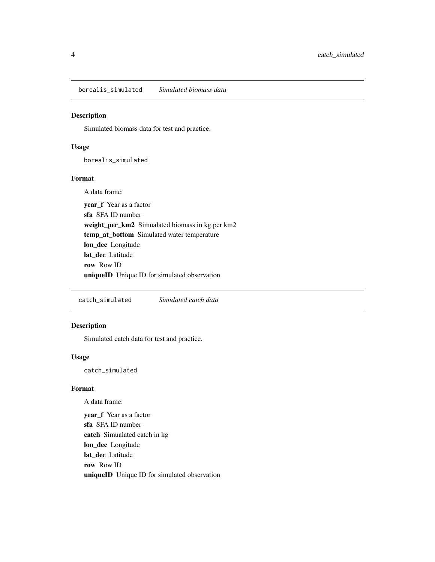<span id="page-3-0"></span>borealis\_simulated *Simulated biomass data*

## Description

Simulated biomass data for test and practice.

#### Usage

borealis\_simulated

#### Format

A data frame:

year f Year as a factor sfa SFA ID number weight\_per\_km2 Simualated biomass in kg per km2 temp\_at\_bottom Simulated water temperature lon\_dec Longitude lat dec Latitude row Row ID uniqueID Unique ID for simulated observation

catch\_simulated *Simulated catch data*

## Description

Simulated catch data for test and practice.

#### Usage

catch\_simulated

#### Format

A data frame:

year\_f Year as a factor sfa SFA ID number catch Simualated catch in kg lon\_dec Longitude lat\_dec Latitude row Row ID uniqueID Unique ID for simulated observation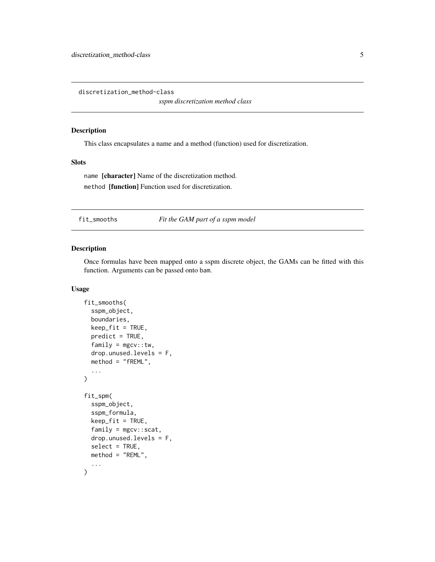<span id="page-4-1"></span><span id="page-4-0"></span>discretization\_method-class

*sspm discretization method class*

#### Description

This class encapsulates a name and a method (function) used for discretization.

#### Slots

name [character] Name of the discretization method. method [function] Function used for discretization.

fit\_smooths *Fit the GAM part of a sspm model*

## Description

Once formulas have been mapped onto a sspm discrete object, the GAMs can be fitted with this function. Arguments can be passed onto bam.

```
fit_smooths(
  sspm_object,
  boundaries,
  keep\_fit = TRUE,predict = TRUE,
  family = mgcv::tw,drop.unused.levels = F,
  method = "fREML",
  ...
\mathcal{E}fit_spm(
  sspm_object,
  sspm_formula,
  keep_fit = TRUE,
  family = mgcv::scat,
  drop.unused.levels = F,
  select = TRUE,
  method = "REML",
  ...
)
```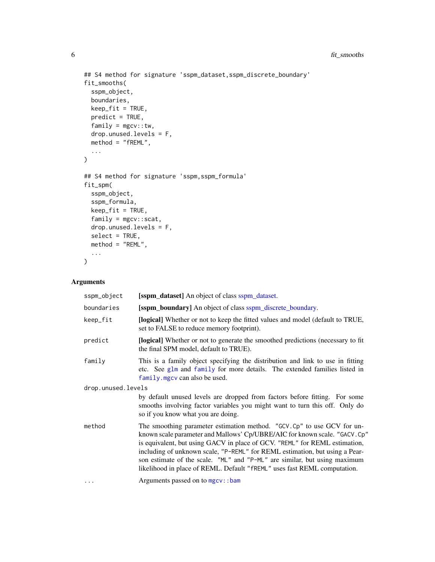```
## S4 method for signature 'sspm_dataset,sspm_discrete_boundary'
fit_smooths(
  sspm_object,
 boundaries,
 keep_fit = TRUE,
 predict = TRUE,
  family = mgcv::tw,drop.unused.levels = F,
 method = "fREM."...
\mathcal{L}## S4 method for signature 'sspm,sspm_formula'
fit_spm(
  sspm_object,
  sspm_formula,
 keep_fit = TRUE,
  family = mgcv::scat,
 drop.unused.levels = F,
  select = TRUE,method = "REML",
  ...
\mathcal{L}
```
## Arguments

| sspm_object        | [sspm_dataset] An object of class sspm_dataset.                                                                                                                                                                                                                                                                                                                                                                                                                            |
|--------------------|----------------------------------------------------------------------------------------------------------------------------------------------------------------------------------------------------------------------------------------------------------------------------------------------------------------------------------------------------------------------------------------------------------------------------------------------------------------------------|
| boundaries         | [sspm_boundary] An object of class sspm_discrete_boundary.                                                                                                                                                                                                                                                                                                                                                                                                                 |
| keep_fit           | <b>[logical]</b> Whether or not to keep the fitted values and model (default to TRUE,<br>set to FALSE to reduce memory footprint).                                                                                                                                                                                                                                                                                                                                         |
| predict            | [logical] Whether or not to generate the smoothed predictions (necessary to fit<br>the final SPM model, default to TRUE).                                                                                                                                                                                                                                                                                                                                                  |
| family             | This is a family object specifying the distribution and link to use in fitting<br>etc. See glm and family for more details. The extended families listed in<br>family. mgcv can also be used.                                                                                                                                                                                                                                                                              |
| drop.unused.levels |                                                                                                                                                                                                                                                                                                                                                                                                                                                                            |
|                    | by default unused levels are dropped from factors before fitting. For some<br>smooths involving factor variables you might want to turn this off. Only do<br>so if you know what you are doing.                                                                                                                                                                                                                                                                            |
| method             | The smoothing parameter estimation method. "GCV.Cp" to use GCV for un-<br>known scale parameter and Mallows' Cp/UBRE/AIC for known scale. "GACV. Cp"<br>is equivalent, but using GACV in place of GCV. "REML" for REML estimation,<br>including of unknown scale, "P-REML" for REML estimation, but using a Pear-<br>son estimate of the scale. "ML" and "P-ML" are similar, but using maximum<br>likelihood in place of REML. Default "fREML" uses fast REML computation. |
| $\cdots$           | Arguments passed on to mgcv::bam                                                                                                                                                                                                                                                                                                                                                                                                                                           |

<span id="page-5-0"></span>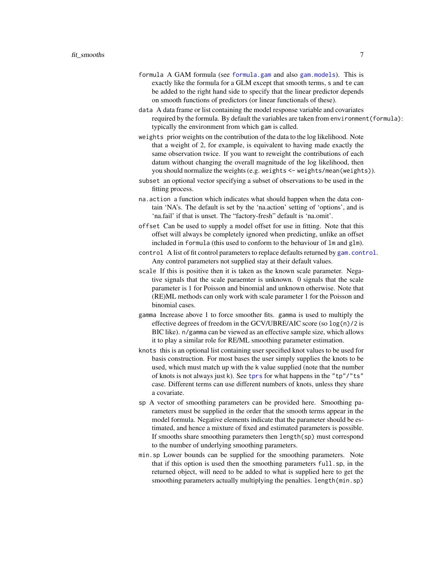- <span id="page-6-0"></span>formula A GAM formula (see [formula.gam](#page-0-0) and also [gam.models](#page-0-0)). This is exactly like the formula for a GLM except that smooth terms, s and te can be added to the right hand side to specify that the linear predictor depends on smooth functions of predictors (or linear functionals of these).
- data A data frame or list containing the model response variable and covariates required by the formula. By default the variables are taken from environment(formula): typically the environment from which gam is called.
- weights prior weights on the contribution of the data to the log likelihood. Note that a weight of 2, for example, is equivalent to having made exactly the same observation twice. If you want to reweight the contributions of each datum without changing the overall magnitude of the log likelihood, then you should normalize the weights (e.g. weights <- weights/mean(weights)).
- subset an optional vector specifying a subset of observations to be used in the fitting process.
- na.action a function which indicates what should happen when the data contain 'NA's. The default is set by the 'na.action' setting of 'options', and is 'na.fail' if that is unset. The "factory-fresh" default is 'na.omit'.
- offset Can be used to supply a model offset for use in fitting. Note that this offset will always be completely ignored when predicting, unlike an offset included in formula (this used to conform to the behaviour of lm and glm).
- control A list of fit control parameters to replace defaults returned by [gam.control](#page-0-0). Any control parameters not supplied stay at their default values.
- scale If this is positive then it is taken as the known scale parameter. Negative signals that the scale paraemter is unknown. 0 signals that the scale parameter is 1 for Poisson and binomial and unknown otherwise. Note that (RE)ML methods can only work with scale parameter 1 for the Poisson and binomial cases.
- gamma Increase above 1 to force smoother fits. gamma is used to multiply the effective degrees of freedom in the GCV/UBRE/AIC score (so log(n)/2 is BIC like). n/gamma can be viewed as an effective sample size, which allows it to play a similar role for RE/ML smoothing parameter estimation.
- knots this is an optional list containing user specified knot values to be used for basis construction. For most bases the user simply supplies the knots to be used, which must match up with the k value supplied (note that the number of knots is not always just k). See [tprs](#page-0-0) for what happens in the "tp"/"ts" case. Different terms can use different numbers of knots, unless they share a covariate.
- sp A vector of smoothing parameters can be provided here. Smoothing parameters must be supplied in the order that the smooth terms appear in the model formula. Negative elements indicate that the parameter should be estimated, and hence a mixture of fixed and estimated parameters is possible. If smooths share smoothing parameters then length(sp) must correspond to the number of underlying smoothing parameters.
- min.sp Lower bounds can be supplied for the smoothing parameters. Note that if this option is used then the smoothing parameters full.sp, in the returned object, will need to be added to what is supplied here to get the smoothing parameters actually multiplying the penalties. length(min.sp)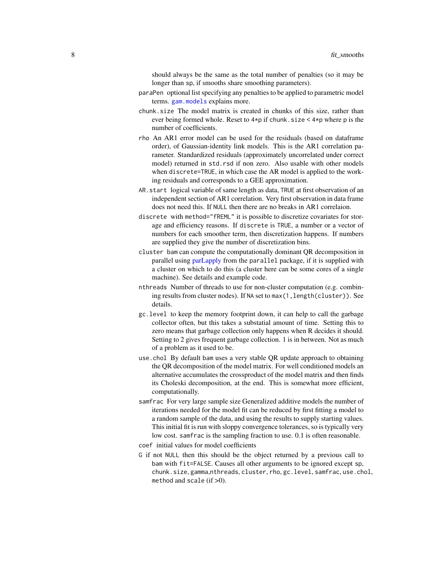should always be the same as the total number of penalties (so it may be longer than sp, if smooths share smoothing parameters).

- <span id="page-7-0"></span>paraPen optional list specifying any penalties to be applied to parametric model terms. [gam.models](#page-0-0) explains more.
- chunk.size The model matrix is created in chunks of this size, rather than ever being formed whole. Reset to  $4*pi$  if chunk. size  $4*pi$  where p is the number of coefficients.
- rho An AR1 error model can be used for the residuals (based on dataframe order), of Gaussian-identity link models. This is the AR1 correlation parameter. Standardized residuals (approximately uncorrelated under correct model) returned in std.rsd if non zero. Also usable with other models when discrete=TRUE, in which case the AR model is applied to the working residuals and corresponds to a GEE approximation.
- AR.start logical variable of same length as data, TRUE at first observation of an independent section of AR1 correlation. Very first observation in data frame does not need this. If NULL then there are no breaks in AR1 correlaion.
- discrete with method="fREML" it is possible to discretize covariates for storage and efficiency reasons. If discrete is TRUE, a number or a vector of numbers for each smoother term, then discretization happens. If numbers are supplied they give the number of discretization bins.
- cluster bam can compute the computationally dominant QR decomposition in parallel using [parLapply](#page-0-0) from the parallel package, if it is supplied with a cluster on which to do this (a cluster here can be some cores of a single machine). See details and example code.
- nthreads Number of threads to use for non-cluster computation (e.g. combining results from cluster nodes). If NA set to max(1,length(cluster)). See details.
- gc.level to keep the memory footprint down, it can help to call the garbage collector often, but this takes a substatial amount of time. Setting this to zero means that garbage collection only happens when R decides it should. Setting to 2 gives frequent garbage collection. 1 is in between. Not as much of a problem as it used to be.
- use.chol By default bam uses a very stable QR update approach to obtaining the QR decomposition of the model matrix. For well conditioned models an alternative accumulates the crossproduct of the model matrix and then finds its Choleski decomposition, at the end. This is somewhat more efficient, computationally.
- samfrac For very large sample size Generalized additive models the number of iterations needed for the model fit can be reduced by first fitting a model to a random sample of the data, and using the results to supply starting values. This initial fit is run with sloppy convergence tolerances, so is typically very low cost. samfrac is the sampling fraction to use. 0.1 is often reasonable.
- coef initial values for model coefficients
- G if not NULL then this should be the object returned by a previous call to bam with fit=FALSE. Causes all other arguments to be ignored except sp, chunk.size, gamma,nthreads, cluster, rho, gc.level, samfrac, use.chol, method and scale (if >0).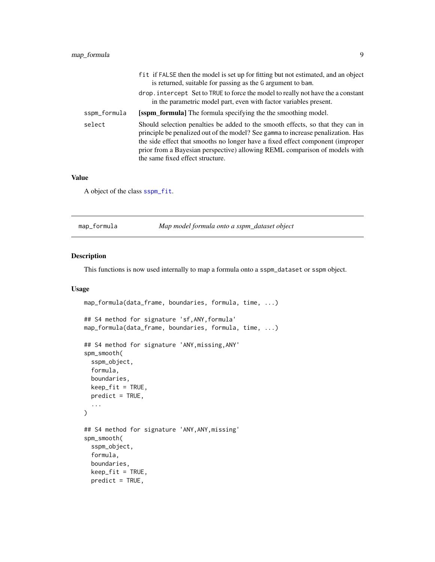<span id="page-8-0"></span>

|              | fit if FALSE then the model is set up for fitting but not estimated, and an object<br>is returned, suitable for passing as the G argument to bam.                                                                                                                                                                                                                      |
|--------------|------------------------------------------------------------------------------------------------------------------------------------------------------------------------------------------------------------------------------------------------------------------------------------------------------------------------------------------------------------------------|
|              | drop. intercept Set to TRUE to force the model to really not have the a constant<br>in the parametric model part, even with factor variables present.                                                                                                                                                                                                                  |
| sspm_formula | <b>[sspm_formula]</b> The formula specifying the the smoothing model.                                                                                                                                                                                                                                                                                                  |
| select       | Should selection penalties be added to the smooth effects, so that they can in<br>principle be penalized out of the model? See gamma to increase penalization. Has<br>the side effect that smooths no longer have a fixed effect component (improper<br>prior from a Bayesian perspective) allowing REML comparison of models with<br>the same fixed effect structure. |

#### Value

A object of the class [sspm\\_fit](#page-51-2).

|  | map_formula | Map model formula onto a sspm_dataset object |  |
|--|-------------|----------------------------------------------|--|
|--|-------------|----------------------------------------------|--|

#### Description

This functions is now used internally to map a formula onto a sspm\_dataset or sspm object.

```
map_formula(data_frame, boundaries, formula, time, ...)
## S4 method for signature 'sf,ANY,formula'
map_formula(data_frame, boundaries, formula, time, ...)
## S4 method for signature 'ANY,missing,ANY'
spm_smooth(
 sspm_object,
  formula,
 boundaries,
 keep\_fit = TRUE,predict = TRUE,...
)
## S4 method for signature 'ANY,ANY,missing'
spm_smooth(
 sspm_object,
 formula,
 boundaries,
 keep_fit = TRUE,
 predict = TRUE,
```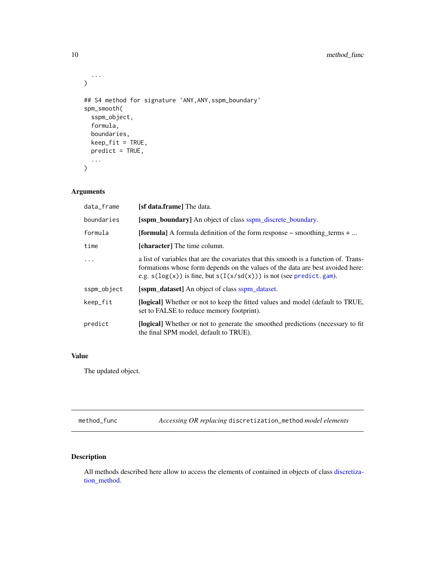```
...
)
## S4 method for signature 'ANY, ANY, sspm_boundary'
spm_smooth(
  sspm_object,
  formula,
 boundaries,
 keep\_fit = TRUE,predict = TRUE,
  ...
\mathcal{L}
```
## Arguments

| data_frame  | [s <b>f data.frame</b> ] The data.                                                                                                                                                                                                                 |
|-------------|----------------------------------------------------------------------------------------------------------------------------------------------------------------------------------------------------------------------------------------------------|
| boundaries  | <b>[sspm_boundary]</b> An object of class sspm_discrete_boundary.                                                                                                                                                                                  |
| formula     | <b>[formula]</b> A formula definition of the form response $\sim$ smoothing terms $+ \dots$                                                                                                                                                        |
| time        | <b>[character]</b> The time column.                                                                                                                                                                                                                |
|             | a list of variables that are the covariates that this smooth is a function of. Trans-<br>formations whose form depends on the values of the data are best avoided here:<br>e.g. $s(log(x))$ is fine, but $s(I(x/sd(x)))$ is not (see predict.gam). |
| sspm_object | [sspm_dataset] An object of class sspm_dataset.                                                                                                                                                                                                    |
| keep_fit    | <b>[logical]</b> Whether or not to keep the fitted values and model (default to TRUE,<br>set to FALSE to reduce memory footprint).                                                                                                                 |
| predict     | <b>[logical]</b> Whether or not to generate the smoothed predictions (necessary to fit<br>the final SPM model, default to TRUE).                                                                                                                   |

## Value

The updated object.

method\_func *Accessing OR replacing* discretization\_method *model elements*

## Description

All methods described here allow to access the elements of contained in objects of class [discretiza](#page-4-1)[tion\\_method.](#page-4-1)

<span id="page-9-0"></span>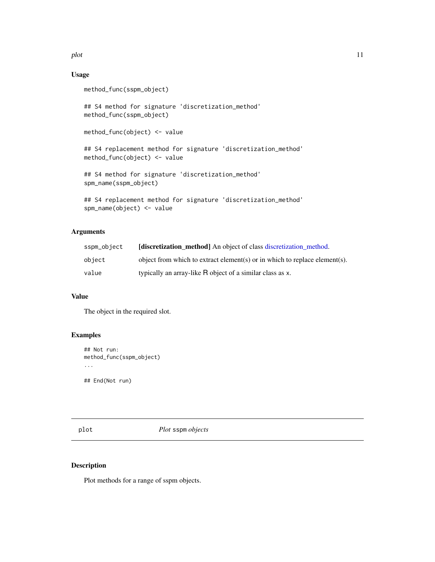<span id="page-10-0"></span>plot the contract of the contract of the contract of the contract of the contract of the contract of the contract of the contract of the contract of the contract of the contract of the contract of the contract of the contr

## Usage

```
method_func(sspm_object)
## S4 method for signature 'discretization_method'
method_func(sspm_object)
method_func(object) <- value
## S4 replacement method for signature 'discretization_method'
method_func(object) <- value
## S4 method for signature 'discretization_method'
spm_name(sspm_object)
## S4 replacement method for signature 'discretization_method'
spm_name(object) <- value
```
## Arguments

| sspm_object | <b>Idiscretization method</b> An object of class discretization method.    |
|-------------|----------------------------------------------------------------------------|
| obiect      | object from which to extract element(s) or in which to replace element(s). |
| value       | typically an array-like R object of a similar class as x.                  |

## Value

The object in the required slot.

## Examples

```
## Not run:
method_func(sspm_object)
...
## End(Not run)
```
plot *Plot* sspm *objects*

#### Description

Plot methods for a range of sspm objects.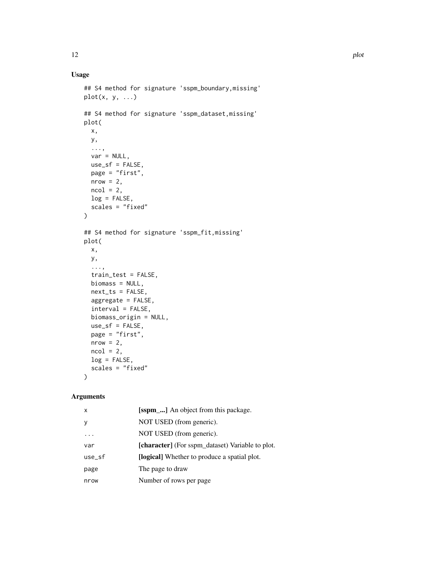## Usage

```
## S4 method for signature 'sspm_boundary,missing'
plot(x, y, ...)## S4 method for signature 'sspm_dataset,missing'
plot(
 x,
 y,
  ...,
 var = NULL,use_sf = FALSE,
 page = "first",
 nrow = 2,
 ncol = 2,
 log = FALSE,
 scales = "fixed"
\mathcal{L}## S4 method for signature 'sspm_fit,missing'
plot(
 x,
 y,
  ...,
 train_test = FALSE,
 biomass = NULL,
 next_ts = FALSE,
  aggregate = FALSE,
  interval = FALSE,
 biomass_origin = NULL,
 use_s f = FALSE,page = "first",
 nrow = 2,
 ncol = 2,
 log = FALSE,
  scales = "fixed"
)
```
## Arguments

| $\mathsf{x}$ | [sspm <sub>_</sub> ] An object from this package. |
|--------------|---------------------------------------------------|
| y            | NOT USED (from generic).                          |
|              | NOT USED (from generic).                          |
| var          | [character] (For sspm_dataset) Variable to plot.  |
| use_sf       | [logical] Whether to produce a spatial plot.      |
| page         | The page to draw                                  |
| nrow         | Number of rows per page                           |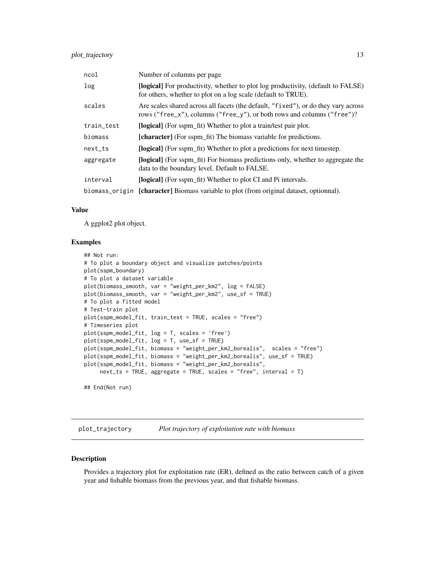<span id="page-12-0"></span>

| ncol       | Number of columns per page                                                                                                                                    |
|------------|---------------------------------------------------------------------------------------------------------------------------------------------------------------|
| log        | <b>[logical]</b> For productivity, whether to plot log productivity, (default to FALSE)<br>for others, whether to plot on a log scale (default to TRUE).      |
| scales     | Are scales shared across all facets (the default, "fixed"), or do they vary across<br>rows ("free_x"), columns ("free_y"), or both rows and columns ("free")? |
| train_test | [logical] (For sspm_fit) Whether to plot a train/test pair plot.                                                                                              |
| biomass    | [character] (For sspm_fit) The biomass variable for predictions.                                                                                              |
| $next\_ts$ | [logical] (For sspm_fit) Whether to plot a predictions for next timestep.                                                                                     |
| aggregate  | <b>[logical]</b> (For sspm_fit) For biomass predictions only, whether to aggregate the<br>data to the boundary level. Default to FALSE.                       |
| interval   | [logical] (For sspm_fit) Whether to plot CI and Pi intervals.                                                                                                 |
|            | biomass_origin [character] Biomass variable to plot (from original dataset, optionnal).                                                                       |

#### Value

A ggplot2 plot object.

#### Examples

```
## Not run:
# To plot a boundary object and visualize patches/points
plot(sspm_boundary)
# To plot a dataset variable
plot(biomass_smooth, var = "weight_per_km2", log = FALSE)
plot(biomass_smooth, var = "weight_per_km2", use_sf = TRUE)
# To plot a fitted model
# Test-train plot
plot(sspm_model_fit, train_test = TRUE, scales = "free")
# Timeseries plot
plot(sspm_model_fit, log = T, scales = 'free')
plot(sspm_model_fit, log = T, use_sf = TRUE)
plot(sspm_model_fit, biomass = "weight_per_km2_borealis", scales = "free")
plot(sspm_model_fit, biomass = "weight_per_km2_borealis", use_sf = TRUE)
plot(sspm_model_fit, biomass = "weight_per_km2_borealis",
     next_ts = TRUE, aggregate = TRUE, scales = "free", interval = T)
## End(Not run)
```
plot\_trajectory *Plot trajectory of exploitation rate with biomass*

#### Description

Provides a trajectory plot for exploitation rate (ER), defined as the ratio between catch of a given year and fishable biomass from the previous year, and that fishable biomass.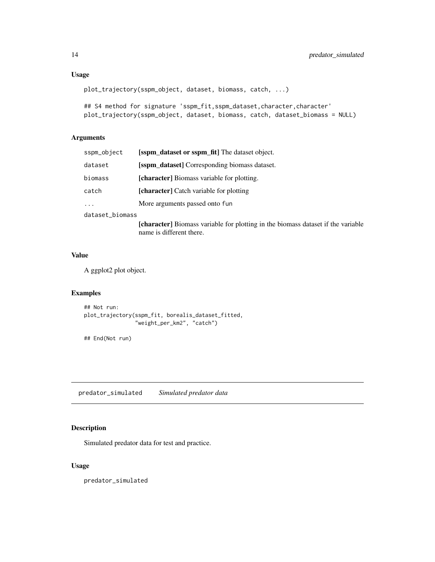## <span id="page-13-0"></span>plot\_trajectory(sspm\_object, dataset, biomass, catch, ...)

```
## S4 method for signature 'sspm_fit,sspm_dataset,character,character'
plot_trajectory(sspm_object, dataset, biomass, catch, dataset_biomass = NULL)
```
### Arguments

| sspm_object     | [sspm_dataset or sspm_fit] The dataset object.         |
|-----------------|--------------------------------------------------------|
| dataset         | <b>Solution</b> dataset Corresponding biomass dataset. |
| biomass         | [character] Biomass variable for plotting.             |
| catch           | <b>[character]</b> Catch variable for plotting         |
| $\cdots$        | More arguments passed onto fun                         |
| dataset_biomass |                                                        |

[character] Biomass variable for plotting in the biomass dataset if the variable name is different there.

#### Value

A ggplot2 plot object.

#### Examples

```
## Not run:
plot_trajectory(sspm_fit, borealis_dataset_fitted,
                "weight_per_km2", "catch")
```
## End(Not run)

predator\_simulated *Simulated predator data*

## Description

Simulated predator data for test and practice.

#### Usage

predator\_simulated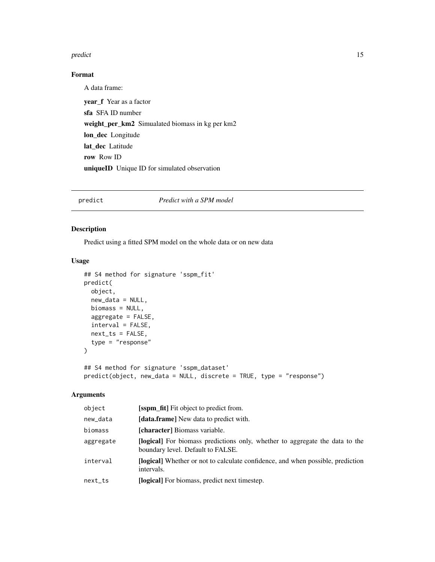#### <span id="page-14-0"></span>predict the contract of the contract of the contract of the contract of the contract of the contract of the contract of the contract of the contract of the contract of the contract of the contract of the contract of the co

## Format

A data frame: year\_f Year as a factor sfa SFA ID number weight\_per\_km2 Simualated biomass in kg per km2 lon\_dec Longitude lat dec Latitude row Row ID uniqueID Unique ID for simulated observation

## predict *Predict with a SPM model*

## Description

Predict using a fitted SPM model on the whole data or on new data

## Usage

```
## S4 method for signature 'sspm_fit'
predict(
  object,
  new_data = NULL,
 biomass = NULL,
  aggregate = FALSE,
  interval = FALSE,
 next_ts = FALSE,type = "response"
\mathcal{L}## S4 method for signature 'sspm_dataset'
predict(object, new_data = NULL, discrete = TRUE, type = "response")
```
#### Arguments

| object     | <b>[sspm_fit]</b> Fit object to predict from.                                                                            |
|------------|--------------------------------------------------------------------------------------------------------------------------|
| new_data   | <b>[data.frame]</b> New data to predict with.                                                                            |
| biomass    | [character] Biomass variable.                                                                                            |
| aggregate  | <b>[logical]</b> For biomass predictions only, whether to aggregate the data to the<br>boundary level. Default to FALSE. |
| interval   | [logical] Whether or not to calculate confidence, and when possible, prediction<br>intervals.                            |
| $next\_ts$ | [logical] For biomass, predict next timestep.                                                                            |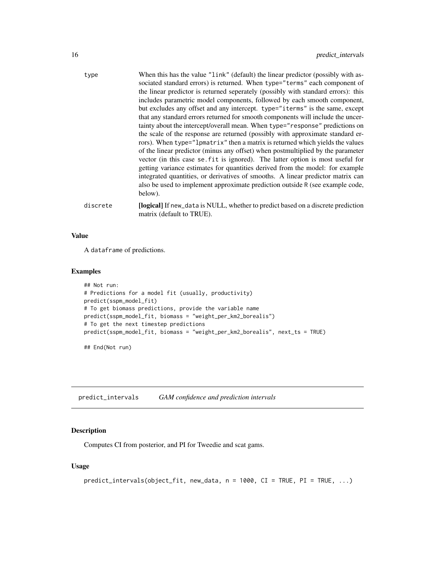<span id="page-15-0"></span>

| type     | When this has the value "link" (default) the linear predictor (possibly with as-<br>sociated standard errors) is returned. When type="terms" each component of<br>the linear predictor is returned seperately (possibly with standard errors): this<br>includes parametric model components, followed by each smooth component,<br>but excludes any offset and any intercept. type="iterms" is the same, except<br>that any standard errors returned for smooth components will include the uncer-<br>tainty about the intercept/overall mean. When type="response" predictions on<br>the scale of the response are returned (possibly with approximate standard er-<br>rors). When type="lpmatrix" then a matrix is returned which yields the values<br>of the linear predictor (minus any offset) when postmultiplied by the parameter<br>vector (in this case se, fit is ignored). The latter option is most useful for<br>getting variance estimates for quantities derived from the model: for example<br>integrated quantities, or derivatives of smooths. A linear predictor matrix can<br>also be used to implement approximate prediction outside R (see example code,<br>below). |
|----------|--------------------------------------------------------------------------------------------------------------------------------------------------------------------------------------------------------------------------------------------------------------------------------------------------------------------------------------------------------------------------------------------------------------------------------------------------------------------------------------------------------------------------------------------------------------------------------------------------------------------------------------------------------------------------------------------------------------------------------------------------------------------------------------------------------------------------------------------------------------------------------------------------------------------------------------------------------------------------------------------------------------------------------------------------------------------------------------------------------------------------------------------------------------------------------------------|
| discrete | [logical] If new_data is NULL, whether to predict based on a discrete prediction<br>matrix (default to TRUE).                                                                                                                                                                                                                                                                                                                                                                                                                                                                                                                                                                                                                                                                                                                                                                                                                                                                                                                                                                                                                                                                              |

## Value

A dataframe of predictions.

#### Examples

```
## Not run:
# Predictions for a model fit (usually, productivity)
predict(sspm_model_fit)
# To get biomass predictions, provide the variable name
predict(sspm_model_fit, biomass = "weight_per_km2_borealis")
# To get the next timestep predictions
predict(sspm_model_fit, biomass = "weight_per_km2_borealis", next_ts = TRUE)
```
## End(Not run)

predict\_intervals *GAM confidence and prediction intervals*

## Description

Computes CI from posterior, and PI for Tweedie and scat gams.

```
predict_intervals(object_fit, new_data, n = 1000, CI = TRUE, PI = TRUE, ...)
```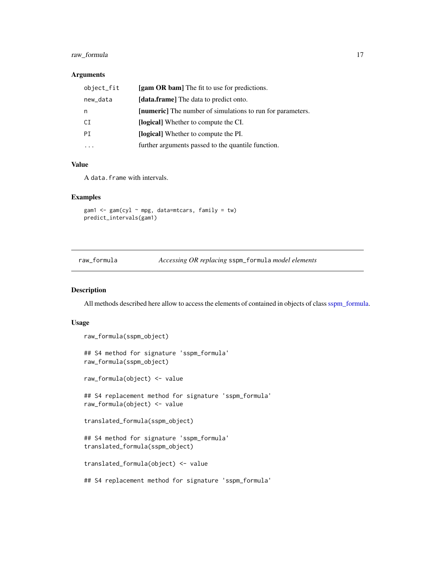## <span id="page-16-0"></span>raw\_formula 17

### Arguments

| object_fit | [gam OR bam] The fit to use for predictions.                      |
|------------|-------------------------------------------------------------------|
| new_data   | [data.frame] The data to predict onto.                            |
| n          | <b>[numeric]</b> The number of simulations to run for parameters. |
| CI         | [logical] Whether to compute the CI.                              |
| PT         | <b>[logical]</b> Whether to compute the PI.                       |
|            | further arguments passed to the quantile function.                |

#### Value

A data.frame with intervals.

## Examples

```
gam1 <- gam(cyl \sim mpg, data=mtcars, family = tw)
predict_intervals(gam1)
```
## Description

All methods described here allow to access the elements of contained in objects of class [sspm\\_formula.](#page-52-1)

```
raw_formula(sspm_object)
## S4 method for signature 'sspm_formula'
raw_formula(sspm_object)
raw_formula(object) <- value
## S4 replacement method for signature 'sspm_formula'
raw_formula(object) <- value
translated_formula(sspm_object)
## S4 method for signature 'sspm_formula'
translated_formula(sspm_object)
translated_formula(object) <- value
## S4 replacement method for signature 'sspm_formula'
```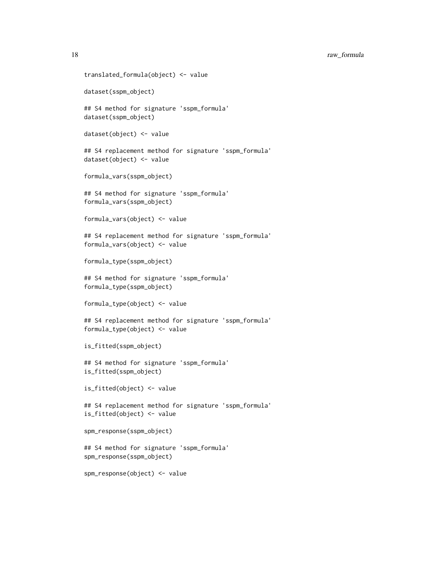18 raw\_formula

```
translated_formula(object) <- value
dataset(sspm_object)
## S4 method for signature 'sspm_formula'
dataset(sspm_object)
dataset(object) <- value
## S4 replacement method for signature 'sspm_formula'
dataset(object) <- value
formula_vars(sspm_object)
## S4 method for signature 'sspm_formula'
formula_vars(sspm_object)
formula_vars(object) <- value
## S4 replacement method for signature 'sspm_formula'
formula_vars(object) <- value
formula_type(sspm_object)
## S4 method for signature 'sspm_formula'
formula_type(sspm_object)
formula_type(object) <- value
## S4 replacement method for signature 'sspm_formula'
formula_type(object) <- value
is_fitted(sspm_object)
## S4 method for signature 'sspm_formula'
is_fitted(sspm_object)
is_fitted(object) <- value
## S4 replacement method for signature 'sspm_formula'
is_fitted(object) <- value
spm_response(sspm_object)
## S4 method for signature 'sspm_formula'
spm_response(sspm_object)
spm_response(object) <- value
```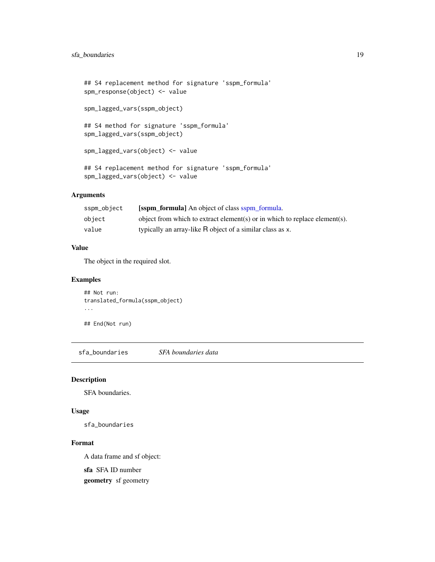```
## S4 replacement method for signature 'sspm_formula'
spm_response(object) <- value
spm_lagged_vars(sspm_object)
## S4 method for signature 'sspm_formula'
spm_lagged_vars(sspm_object)
spm_lagged_vars(object) <- value
## S4 replacement method for signature 'sspm_formula'
spm_lagged_vars(object) <- value
```
## Arguments

| sspm_object | <b>Solution</b> formula An object of class sspm formula.                   |
|-------------|----------------------------------------------------------------------------|
| object      | object from which to extract element(s) or in which to replace element(s). |
| value       | typically an array-like R object of a similar class as x.                  |

## Value

The object in the required slot.

## Examples

```
## Not run:
translated_formula(sspm_object)
...
```
sfa\_boundaries *SFA boundaries data*

## Description

SFA boundaries.

## End(Not run)

## Usage

sfa\_boundaries

### Format

A data frame and sf object:

sfa SFA ID number

geometry sf geometry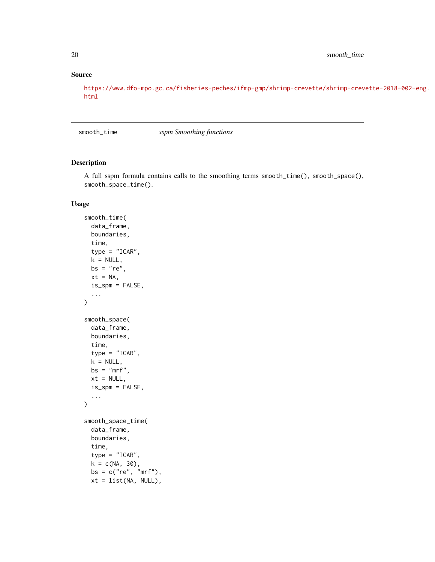## Source

[https://www.dfo-mpo.gc.ca/fisheries-peches/ifmp-gmp/shrimp-crevette/shrimp-crev](https://www.dfo-mpo.gc.ca/fisheries-peches/ifmp-gmp/shrimp-crevette/shrimp-crevette-2018-002-eng.html)ette-2018-002-eng. [html](https://www.dfo-mpo.gc.ca/fisheries-peches/ifmp-gmp/shrimp-crevette/shrimp-crevette-2018-002-eng.html)

smooth\_time *sspm Smoothing functions*

#### Description

A full sspm formula contains calls to the smoothing terms smooth\_time(), smooth\_space(), smooth\_space\_time().

```
smooth_time(
  data_frame,
 boundaries,
  time,
  type = "ICAR",
 k = NULL,bs = "re",
  xt = NA,is_spm = FALSE,...
\mathcal{L}smooth_space(
  data_frame,
 boundaries,
  time,
  type = "ICAR",
  k = NULL,bs = "mrf",xt = NULL,is_spm = FALSE,
  ...
)
smooth_space_time(
  data_frame,
 boundaries,
  time,
  type = "ICAR",k = c(NA, 30),bs = c("re", "mrf"),xt = list(NA, NULL),
```
<span id="page-19-0"></span>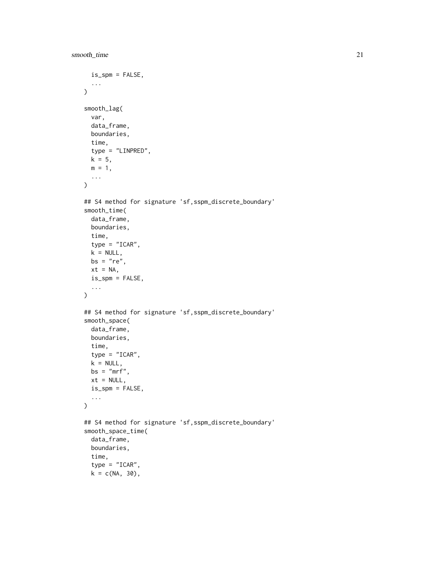```
is_spm = FALSE,...
\lambdasmooth_lag(
 var,
 data_frame,
 boundaries,
 time,
  type = "LINPRED",
 k = 5,m = 1,...
)
## S4 method for signature 'sf,sspm_discrete_boundary'
smooth_time(
  data_frame,
 boundaries,
  time,
  type = "ICAR",
 k = NULL,bs = "re",xt = NA,is_spm = FALSE,
  ...
\mathcal{L}## S4 method for signature 'sf,sspm_discrete_boundary'
smooth_space(
  data_frame,
 boundaries,
  time,
  type = "ICAR",
 k = NULL,bs = "mrf",xt = NULL,is_spm = FALSE,
  ...
)
## S4 method for signature 'sf,sspm_discrete_boundary'
smooth_space_time(
  data_frame,
 boundaries,
  time,
  type = "ICAR",
  k = c(NA, 30),
```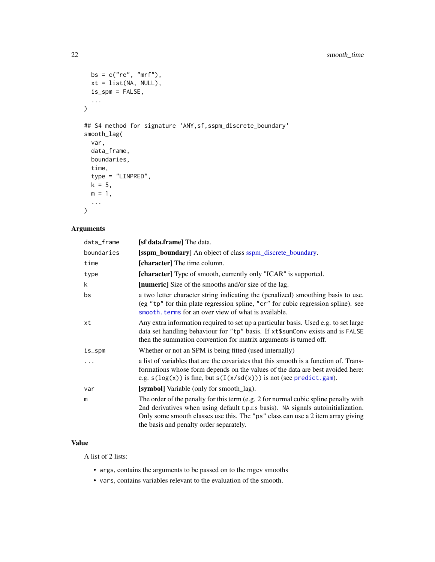```
bs = c("re", "mrf"),xt = list(NA, NULL),
 is_spm = FALSE,...
\mathcal{L}## S4 method for signature 'ANY,sf,sspm_discrete_boundary'
smooth_lag(
 var,
 data_frame,
 boundaries,
  time,
 type = "LINPRED",
 k = 5,m = 1,
  ...
\mathcal{L}
```
## Arguments

| data_frame | [s <b>f data.frame</b> ] The data.                                                                                                                                                                                                                                                                     |
|------------|--------------------------------------------------------------------------------------------------------------------------------------------------------------------------------------------------------------------------------------------------------------------------------------------------------|
| boundaries | [sspm_boundary] An object of class sspm_discrete_boundary.                                                                                                                                                                                                                                             |
| time       | [character] The time column.                                                                                                                                                                                                                                                                           |
| type       | [character] Type of smooth, currently only "ICAR" is supported.                                                                                                                                                                                                                                        |
| k          | [numeric] Size of the smooths and/or size of the lag.                                                                                                                                                                                                                                                  |
| bs         | a two letter character string indicating the (penalized) smoothing basis to use.<br>(eg "tp" for thin plate regression spline, "cr" for cubic regression spline). see<br>smooth, terms for an over view of what is available.                                                                          |
| хt         | Any extra information required to set up a particular basis. Used e.g. to set large<br>data set handling behaviour for "tp" basis. If xt\$sumConv exists and is FALSE<br>then the summation convention for matrix arguments is turned off.                                                             |
| is_spm     | Whether or not an SPM is being fitted (used internally)                                                                                                                                                                                                                                                |
|            | a list of variables that are the covariates that this smooth is a function of. Trans-<br>formations whose form depends on the values of the data are best avoided here:<br>e.g. $s(\log(x))$ is fine, but $s(I(x/sd(x)))$ is not (see predict.gam).                                                    |
| var        | [symbol] Variable (only for smooth_lag).                                                                                                                                                                                                                                                               |
| m          | The order of the penalty for this term (e.g. 2 for normal cubic spline penalty with<br>2nd derivatives when using default t.p.r.s basis). NA signals autoinitialization.<br>Only some smooth classes use this. The "ps" class can use a 2 item array giving<br>the basis and penalty order separately. |

## Value

A list of 2 lists:

- args, contains the arguments to be passed on to the mgcv smooths
- vars, contains variables relevant to the evaluation of the smooth.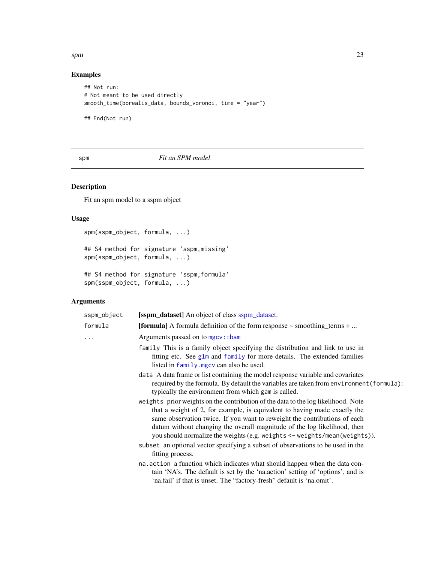#### <span id="page-22-0"></span> $spm$  23

## Examples

```
## Not run:
# Not meant to be used directly
smooth_time(borealis_data, bounds_voronoi, time = "year")
```
## End(Not run)

## spm *Fit an SPM model*

## Description

Fit an spm model to a sspm object

## Usage

```
spm(sspm_object, formula, ...)
## S4 method for signature 'sspm,missing'
spm(sspm_object, formula, ...)
## S4 method for signature 'sspm,formula'
```

```
spm(sspm_object, formula, ...)
```
## Arguments

| sspm_object | <b>[sspm_dataset]</b> An object of class sspm_dataset.                                                                                                                                                                                                                                                                                                                                               |
|-------------|------------------------------------------------------------------------------------------------------------------------------------------------------------------------------------------------------------------------------------------------------------------------------------------------------------------------------------------------------------------------------------------------------|
| formula     | <b>[formula]</b> A formula definition of the form response $\sim$ smoothing terms $+ \dots$                                                                                                                                                                                                                                                                                                          |
|             | Arguments passed on to mgcv::bam                                                                                                                                                                                                                                                                                                                                                                     |
|             | family This is a family object specifying the distribution and link to use in<br>fitting etc. See glm and family for more details. The extended families<br>listed in family. mgcv can also be used.                                                                                                                                                                                                 |
|             | data A data frame or list containing the model response variable and covariates<br>required by the formula. By default the variables are taken from environment (formula):<br>typically the environment from which gam is called.                                                                                                                                                                    |
|             | weights prior weights on the contribution of the data to the log likelihood. Note<br>that a weight of 2, for example, is equivalent to having made exactly the<br>same observation twice. If you want to reweight the contributions of each<br>datum without changing the overall magnitude of the log likelihood, then<br>you should normalize the weights (e.g. weights <- weights/mean(weights)). |
|             | subset an optional vector specifying a subset of observations to be used in the<br>fitting process.                                                                                                                                                                                                                                                                                                  |
|             | na. action a function which indicates what should happen when the data con-<br>tain 'NA's. The default is set by the 'nalaction' setting of 'options', and is<br>'na.fail' if that is unset. The "factory-fresh" default is 'na.omit'.                                                                                                                                                               |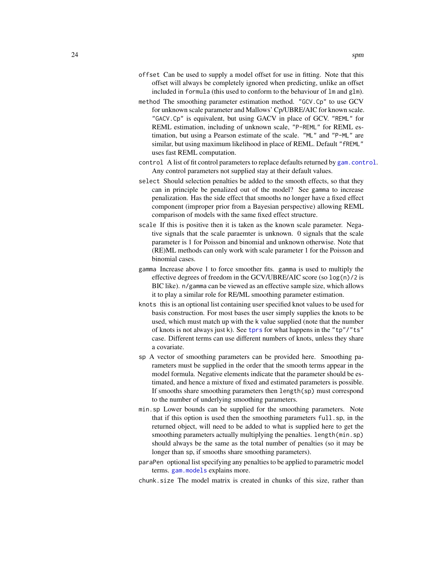- <span id="page-23-0"></span>offset Can be used to supply a model offset for use in fitting. Note that this offset will always be completely ignored when predicting, unlike an offset included in formula (this used to conform to the behaviour of lm and glm).
- method The smoothing parameter estimation method. "GCV.Cp" to use GCV for unknown scale parameter and Mallows' Cp/UBRE/AIC for known scale. "GACV.Cp" is equivalent, but using GACV in place of GCV. "REML" for REML estimation, including of unknown scale, "P-REML" for REML estimation, but using a Pearson estimate of the scale. "ML" and "P-ML" are similar, but using maximum likelihood in place of REML. Default "fREML" uses fast REML computation.
- control A list of fit control parameters to replace defaults returned by [gam.control](#page-0-0). Any control parameters not supplied stay at their default values.
- select Should selection penalties be added to the smooth effects, so that they can in principle be penalized out of the model? See gamma to increase penalization. Has the side effect that smooths no longer have a fixed effect component (improper prior from a Bayesian perspective) allowing REML comparison of models with the same fixed effect structure.
- scale If this is positive then it is taken as the known scale parameter. Negative signals that the scale paraemter is unknown. 0 signals that the scale parameter is 1 for Poisson and binomial and unknown otherwise. Note that (RE)ML methods can only work with scale parameter 1 for the Poisson and binomial cases.
- gamma Increase above 1 to force smoother fits. gamma is used to multiply the effective degrees of freedom in the GCV/UBRE/AIC score (so log(n)/2 is BIC like). n/gamma can be viewed as an effective sample size, which allows it to play a similar role for RE/ML smoothing parameter estimation.
- knots this is an optional list containing user specified knot values to be used for basis construction. For most bases the user simply supplies the knots to be used, which must match up with the k value supplied (note that the number of knots is not always just k). See [tprs](#page-0-0) for what happens in the "tp"/"ts" case. Different terms can use different numbers of knots, unless they share a covariate.
- sp A vector of smoothing parameters can be provided here. Smoothing parameters must be supplied in the order that the smooth terms appear in the model formula. Negative elements indicate that the parameter should be estimated, and hence a mixture of fixed and estimated parameters is possible. If smooths share smoothing parameters then length(sp) must correspond to the number of underlying smoothing parameters.
- min.sp Lower bounds can be supplied for the smoothing parameters. Note that if this option is used then the smoothing parameters full.sp, in the returned object, will need to be added to what is supplied here to get the smoothing parameters actually multiplying the penalties. length(min.sp) should always be the same as the total number of penalties (so it may be longer than sp, if smooths share smoothing parameters).
- paraPen optional list specifying any penalties to be applied to parametric model terms. [gam.models](#page-0-0) explains more.
- chunk.size The model matrix is created in chunks of this size, rather than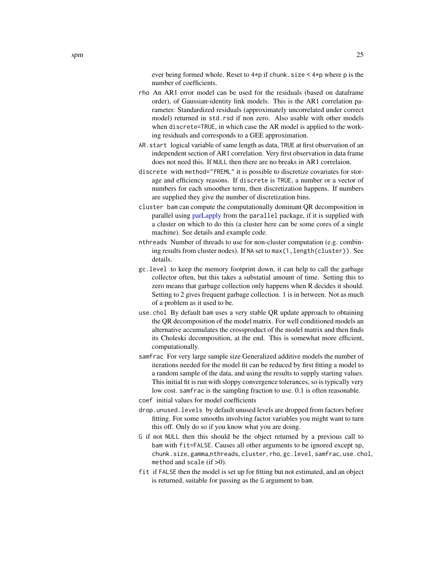ever being formed whole. Reset to 4\*p if chunk.size < 4\*p where p is the number of coefficients.

- <span id="page-24-0"></span>rho An AR1 error model can be used for the residuals (based on dataframe order), of Gaussian-identity link models. This is the AR1 correlation parameter. Standardized residuals (approximately uncorrelated under correct model) returned in std.rsd if non zero. Also usable with other models when discrete=TRUE, in which case the AR model is applied to the working residuals and corresponds to a GEE approximation.
- AR.start logical variable of same length as data, TRUE at first observation of an independent section of AR1 correlation. Very first observation in data frame does not need this. If NULL then there are no breaks in AR1 correlaion.
- discrete with method="fREML" it is possible to discretize covariates for storage and efficiency reasons. If discrete is TRUE, a number or a vector of numbers for each smoother term, then discretization happens. If numbers are supplied they give the number of discretization bins.
- cluster bam can compute the computationally dominant QR decomposition in parallel using [parLapply](#page-0-0) from the parallel package, if it is supplied with a cluster on which to do this (a cluster here can be some cores of a single machine). See details and example code.
- nthreads Number of threads to use for non-cluster computation (e.g. combining results from cluster nodes). If NA set to  $max(1, length(cluster))$ . See details.
- gc.level to keep the memory footprint down, it can help to call the garbage collector often, but this takes a substatial amount of time. Setting this to zero means that garbage collection only happens when R decides it should. Setting to 2 gives frequent garbage collection. 1 is in between. Not as much of a problem as it used to be.
- use.chol By default bam uses a very stable QR update approach to obtaining the QR decomposition of the model matrix. For well conditioned models an alternative accumulates the crossproduct of the model matrix and then finds its Choleski decomposition, at the end. This is somewhat more efficient, computationally.
- samfrac For very large sample size Generalized additive models the number of iterations needed for the model fit can be reduced by first fitting a model to a random sample of the data, and using the results to supply starting values. This initial fit is run with sloppy convergence tolerances, so is typically very low cost. samfrac is the sampling fraction to use. 0.1 is often reasonable.
- coef initial values for model coefficients
- drop.unused.levels by default unused levels are dropped from factors before fitting. For some smooths involving factor variables you might want to turn this off. Only do so if you know what you are doing.
- G if not NULL then this should be the object returned by a previous call to bam with fit=FALSE. Causes all other arguments to be ignored except sp, chunk.size, gamma,nthreads, cluster, rho, gc.level, samfrac, use.chol, method and scale  $(if > 0)$ .
- fit if FALSE then the model is set up for fitting but not estimated, and an object is returned, suitable for passing as the G argument to bam.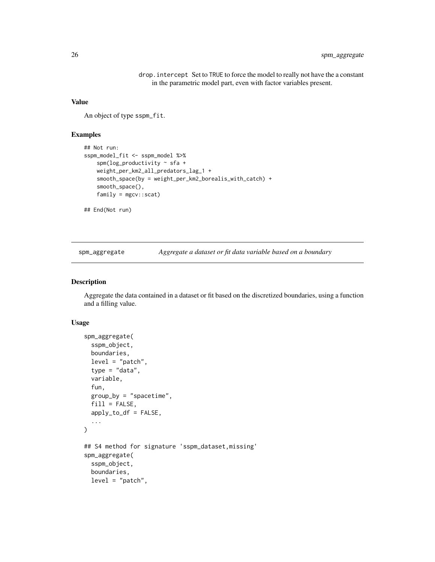drop.intercept Set to TRUE to force the model to really not have the a constant in the parametric model part, even with factor variables present.

#### <span id="page-25-0"></span>Value

An object of type sspm\_fit.

#### Examples

```
## Not run:
sspm_model_fit <- sspm_model %>%
   spm(log_productivity \sim sfa +
   weight_per_km2_all_predators_lag_1 +
    smooth_space(by = weight_per_km2_borealis_with_catch) +
    smooth_space(),
    family = mgcv::scat)
## End(Not run)
```
spm\_aggregate *Aggregate a dataset or fit data variable based on a boundary*

#### Description

Aggregate the data contained in a dataset or fit based on the discretized boundaries, using a function and a filling value.

```
spm_aggregate(
  sspm_object,
 boundaries,
  level = "patch",type = "data",variable,
  fun,
  group_by = "spacetime",
 fill = FALSE,apply_to_df = FALSE,
  ...
\lambda## S4 method for signature 'sspm_dataset,missing'
spm_aggregate(
  sspm_object,
  boundaries,
  level = "patch",
```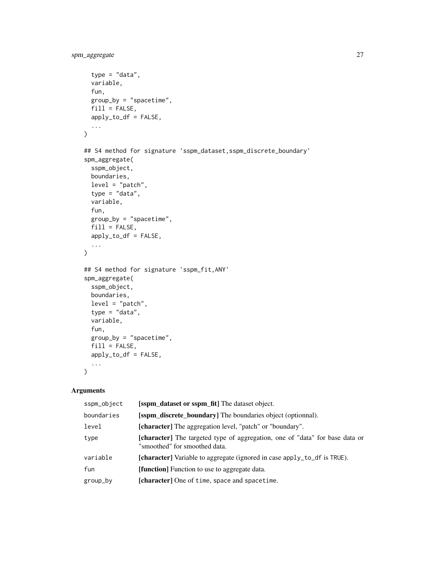```
type = "data",
  variable,
  fun,
 group_by = "spacetime",
 fill = FALSE,apply_to_df = FALSE,
  ...
\mathcal{L}## S4 method for signature 'sspm_dataset,sspm_discrete_boundary'
spm_aggregate(
  sspm_object,
 boundaries,
 level = "patch",type = "data",
  variable,
  fun,
 group_by = "spacetime",
 fill = FALSE,apply_to_df = FALSE,
  ...
\mathcal{L}## S4 method for signature 'sspm_fit,ANY'
spm_aggregate(
 sspm_object,
 boundaries,
 level = "patch",type = "data",variable,
  fun,
 group_by = "spacetime",
 fill = FALSE,apply_to_df = FALSE,
  ...
```
 $\mathcal{L}$ 

## Arguments

| sspm_object | [sspm_dataset or sspm_fit] The dataset object.                                                                       |
|-------------|----------------------------------------------------------------------------------------------------------------------|
| boundaries  | [sspm_discrete_boundary] The boundaries object (optionnal).                                                          |
| level       | [character] The aggregation level, "patch" or "boundary".                                                            |
| type        | <b>[character]</b> The targeted type of aggregation, one of "data" for base data or<br>"smoothed" for smoothed data. |
| variable    | [character] Variable to aggregate (ignored in case apply_to_df is TRUE).                                             |
| fun         | <b>[function]</b> Function to use to aggregate data.                                                                 |
| group_by    | [character] One of time, space and spacetime.                                                                        |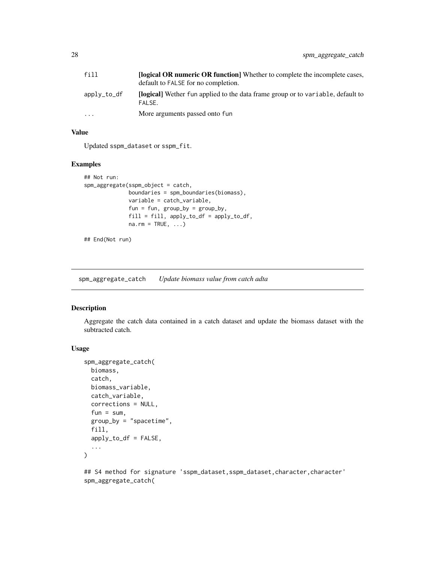<span id="page-27-0"></span>

| fill                    | <b>[logical OR numeric OR function]</b> Whether to complete the incomplete cases,<br>default to FALSE for no completion. |
|-------------------------|--------------------------------------------------------------------------------------------------------------------------|
| apply_to_df             | <b>Docall</b> Wether fun applied to the data frame group or to variable, default to<br>FALSE.                            |
| $\cdot$ $\cdot$ $\cdot$ | More arguments passed onto fun                                                                                           |

## Value

Updated sspm\_dataset or sspm\_fit.

## Examples

```
## Not run:
spm_aggregate(sspm_object = catch,
             boundaries = spm_boundaries(biomass),
             variable = catch_variable,
             fun = fun, group_by = group_by,
             fill = fill, apply_to_df = apply_to_df,
             na.rm = TRUE, ...
```

```
## End(Not run)
```
spm\_aggregate\_catch *Update biomass value from catch adta*

## Description

Aggregate the catch data contained in a catch dataset and update the biomass dataset with the subtracted catch.

#### Usage

```
spm_aggregate_catch(
 biomass,
 catch,
 biomass_variable,
 catch_variable,
  corrections = NULL,
 fun = sum,
 group_by = "spacetime",
 fill,
 apply_to_df = FALSE,...
\lambda
```
## S4 method for signature 'sspm\_dataset,sspm\_dataset,character,character' spm\_aggregate\_catch(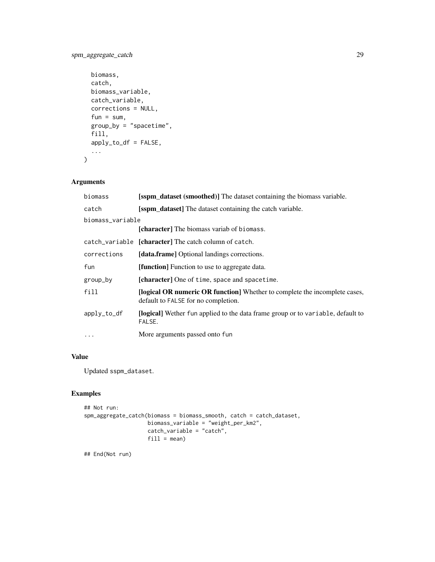## spm\_aggregate\_catch 29

```
biomass,
 catch,
 biomass_variable,
 catch_variable,
  corrections = NULL,
  fun = sum,
 group_by = "spacetime",
 fill,
 apply_to_df = FALSE,
  ...
\mathcal{L}
```
## Arguments

| biomass          | <b>[sspm_dataset (smoothed)]</b> The dataset containing the biomass variable.                                     |
|------------------|-------------------------------------------------------------------------------------------------------------------|
| catch            | [sspm_dataset] The dataset containing the catch variable.                                                         |
| biomass_variable |                                                                                                                   |
|                  | <b>[character]</b> The biomass variab of biomass.                                                                 |
|                  | catch_variable [character] The catch column of catch.                                                             |
| corrections      | [data.frame] Optional landings corrections.                                                                       |
| fun              | [function] Function to use to aggregate data.                                                                     |
| group_by         | [character] One of time, space and spacetime.                                                                     |
| fill             | [logical OR numeric OR function] Whether to complete the incomplete cases,<br>default to FALSE for no completion. |
| apply_to_df      | <b>[logical]</b> Wether fun applied to the data frame group or to variable, default to<br>FALSE.                  |
| $\ddotsc$        | More arguments passed onto fun                                                                                    |

## Value

Updated sspm\_dataset.

## Examples

```
## Not run:
spm_aggregate_catch(biomass = biomass_smooth, catch = catch_dataset,
                    biomass_variable = "weight_per_km2",
                    catch_variable = "catch",
                   fill = mean)
```
## End(Not run)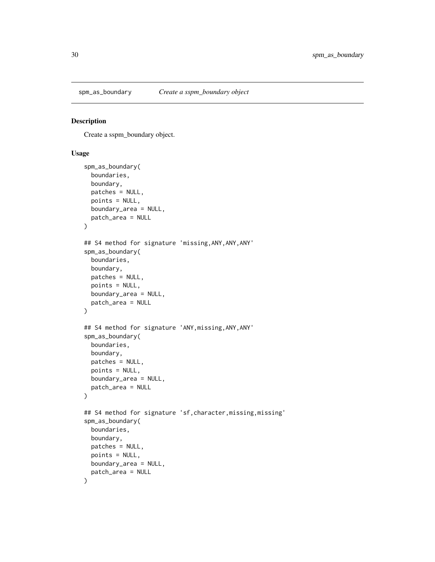<span id="page-29-0"></span>

### Description

Create a sspm\_boundary object.

```
spm_as_boundary(
  boundaries,
 boundary,
 patches = NULL,
 points = NULL,
 boundary_area = NULL,
 patch_area = NULL
)
## S4 method for signature 'missing,ANY,ANY,ANY'
spm_as_boundary(
 boundaries,
 boundary,
 patches = NULL,
 points = NULL,
 boundary_area = NULL,
 patch_area = NULL
)
## S4 method for signature 'ANY,missing,ANY,ANY'
spm_as_boundary(
 boundaries,
 boundary,
 patches = NULL,
 points = NULL,
 boundary_area = NULL,
 patch_area = NULL
)
## S4 method for signature 'sf,character,missing,missing'
spm_as_boundary(
 boundaries,
 boundary,
 patches = NULL,
 points = NULL,
 boundary_area = NULL,
 patch_area = NULL
\mathcal{E}
```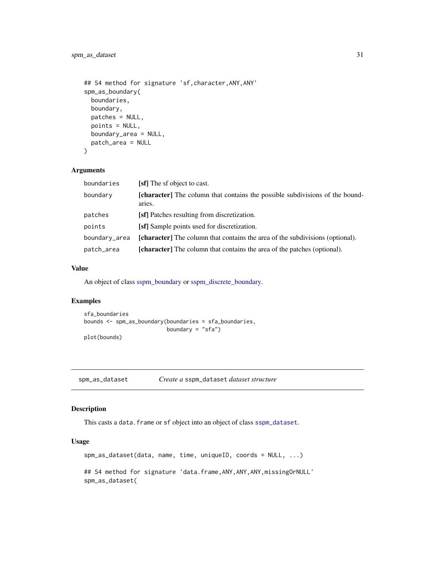```
## S4 method for signature 'sf,character,ANY,ANY'
spm_as_boundary(
 boundaries,
 boundary,
 patches = NULL,
 points = NULL,
 boundary_area = NULL,
 patch_area = NULL
)
```
#### Arguments

| boundaries    | [sf] The sf object to cast.                                                                   |
|---------------|-----------------------------------------------------------------------------------------------|
| boundary      | <b>[character]</b> The column that contains the possible subdivisions of the bound-<br>aries. |
| patches       | [sf] Patches resulting from discretization.                                                   |
| points        | <b>[sf]</b> Sample points used for discretization.                                            |
| boundary area | <b>[character]</b> The column that contains the area of the subdivisions (optional).          |
| patch_area    | <b>[character]</b> The column that contains the area of the patches (optional).               |

### Value

An object of class [sspm\\_boundary](#page-50-1) or [sspm\\_discrete\\_boundary.](#page-50-2)

## Examples

```
sfa_boundaries
bounds <- spm_as_boundary(boundaries = sfa_boundaries,
                          boundary = "sfa")
plot(bounds)
```
spm\_as\_dataset *Create a* sspm\_dataset *dataset structure*

### Description

This casts a data. frame or sf object into an object of class [sspm\\_dataset](#page-51-1).

```
spm_as_dataset(data, name, time, uniqueID, coords = NULL, ...)
## S4 method for signature 'data.frame, ANY, ANY, ANY, missingOrNULL'
spm_as_dataset(
```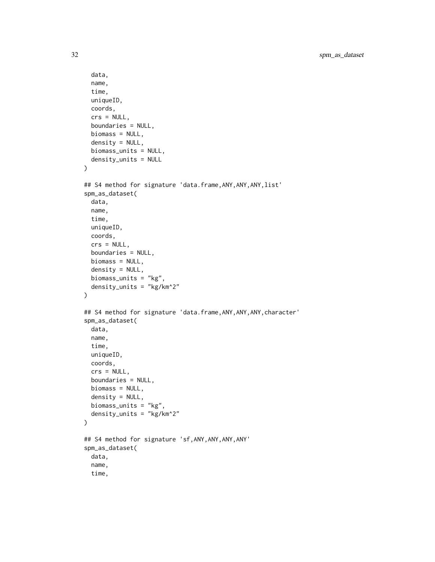```
data,
  name,
  time,
 uniqueID,
  coords,
  crs = NULL,boundaries = NULL,
 biomass = NULL,
 density = NULL,biomass_units = NULL,
  density_units = NULL
)
## S4 method for signature 'data.frame, ANY, ANY, ANY, list'
spm_as_dataset(
 data,
 name,
  time,
 uniqueID,
  coords,
 crs = NULL,
 boundaries = NULL,
 biomass = NULL,
  density = NULL,biomass_units = "kg",
  density_units = "kg/km^2"
)
## S4 method for signature 'data.frame, ANY, ANY, ANY, character'
spm_as_dataset(
 data,
 name,
  time,
 uniqueID,
 coords,
 crs = NULL,
 boundaries = NULL,
 biomass = NULL,
  density = NULL,biomass_units = "kg",
  density_units = "kg/km^2"
\mathcal{L}## S4 method for signature 'sf,ANY,ANY,ANY,ANY'
spm_as_dataset(
  data,
 name,
  time,
```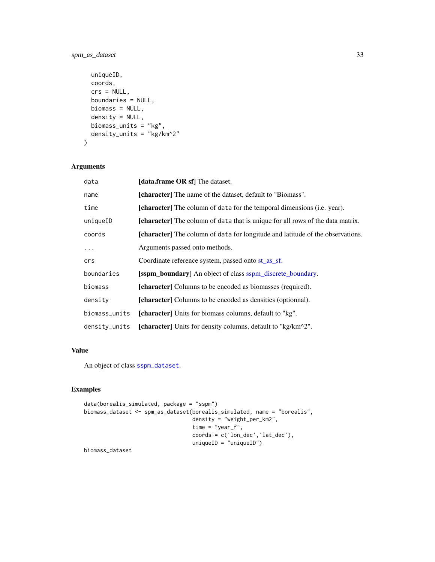## <span id="page-32-0"></span>spm\_as\_dataset 33

```
uniqueID,
 coords,
 crs = NULL,boundaries = NULL,
 biomass = NULL,
 density = NULL,
 biomass_units = "kg",
 density_units = "kg/km^2"
)
```
## Arguments

| data             | [data.frame OR sf] The dataset.                                                       |
|------------------|---------------------------------------------------------------------------------------|
| name             | [character] The name of the dataset, default to "Biomass".                            |
| time             | <b>[character]</b> The column of data for the temporal dimensions (i.e. year).        |
| uniqueID         | [character] The column of data that is unique for all rows of the data matrix.        |
| coords           | <b>[character]</b> The column of data for longitude and latitude of the observations. |
| $\cdots$         | Arguments passed onto methods.                                                        |
| crs              | Coordinate reference system, passed onto st_as_sf.                                    |
| boundaries       | <b>[sspm_boundary]</b> An object of class sspm_discrete_boundary.                     |
| biomass          | [character] Columns to be encoded as biomasses (required).                            |
| density          | [character] Columns to be encoded as densities (optionnal).                           |
| biomass_units    | [character] Units for biomass columns, default to "kg".                               |
| $density_$ units | [character] Units for density columns, default to "kg/km^2".                          |

#### Value

An object of class [sspm\\_dataset](#page-51-1).

## Examples

```
data(borealis_simulated, package = "sspm")
biomass_dataset <- spm_as_dataset(borealis_simulated, name = "borealis",
                                  density = "weight_per_km2",
                                  time = "year_f",
                                  coords = c('lon_dec','lat_dec'),
                                  uniqueID = "uniqueID")
```
biomass\_dataset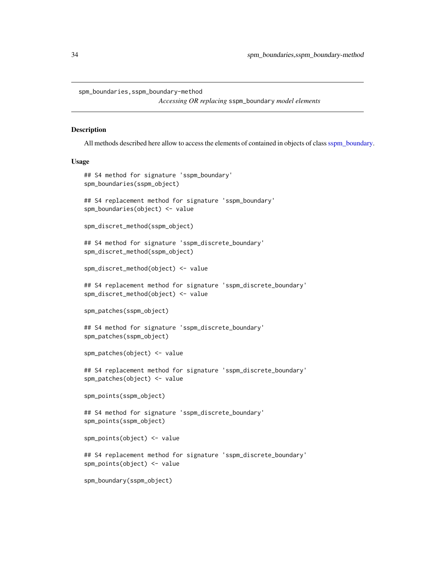<span id="page-33-0"></span>spm\_boundaries,sspm\_boundary-method

```
Accessing OR replacing sspm_boundary model elements
```
#### Description

All methods described here allow to access the elements of contained in objects of class[sspm\\_boundary.](#page-50-1)

```
## S4 method for signature 'sspm_boundary'
spm_boundaries(sspm_object)
## S4 replacement method for signature 'sspm_boundary'
spm_boundaries(object) <- value
spm_discret_method(sspm_object)
## S4 method for signature 'sspm_discrete_boundary'
spm_discret_method(sspm_object)
spm_discret_method(object) <- value
## S4 replacement method for signature 'sspm_discrete_boundary'
spm_discret_method(object) <- value
spm_patches(sspm_object)
## S4 method for signature 'sspm_discrete_boundary'
spm_patches(sspm_object)
spm_patches(object) <- value
## S4 replacement method for signature 'sspm_discrete_boundary'
spm_patches(object) <- value
spm_points(sspm_object)
## S4 method for signature 'sspm_discrete_boundary'
spm_points(sspm_object)
spm_points(object) <- value
## S4 replacement method for signature 'sspm_discrete_boundary'
spm_points(object) <- value
spm_boundary(sspm_object)
```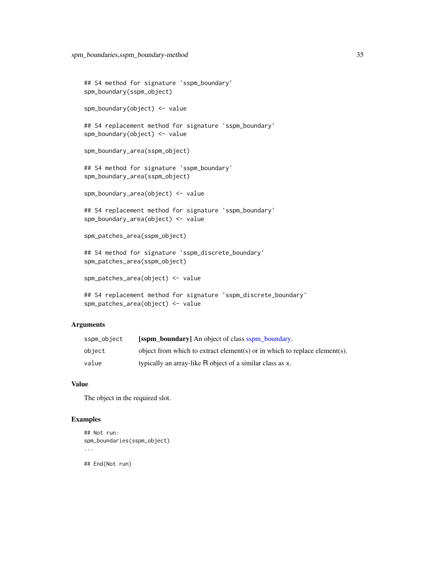```
## S4 method for signature 'sspm_boundary'
spm_boundary(sspm_object)
spm_boundary(object) <- value
## S4 replacement method for signature 'sspm_boundary'
spm_boundary(object) <- value
spm_boundary_area(sspm_object)
## S4 method for signature 'sspm_boundary'
spm_boundary_area(sspm_object)
spm_boundary_area(object) <- value
## S4 replacement method for signature 'sspm_boundary'
spm_boundary_area(object) <- value
spm_patches_area(sspm_object)
## S4 method for signature 'sspm_discrete_boundary'
spm_patches_area(sspm_object)
spm_patches_area(object) <- value
## S4 replacement method for signature 'sspm_discrete_boundary'
spm_patches_area(object) <- value
```
## Arguments

| sspm_object | <b>Solution boundary</b> An object of class sspm boundary.                 |
|-------------|----------------------------------------------------------------------------|
| obiect      | object from which to extract element(s) or in which to replace element(s). |
| value       | typically an array-like R object of a similar class as x.                  |

#### Value

The object in the required slot.

#### Examples

```
## Not run:
spm_boundaries(sspm_object)
...
## End(Not run)
```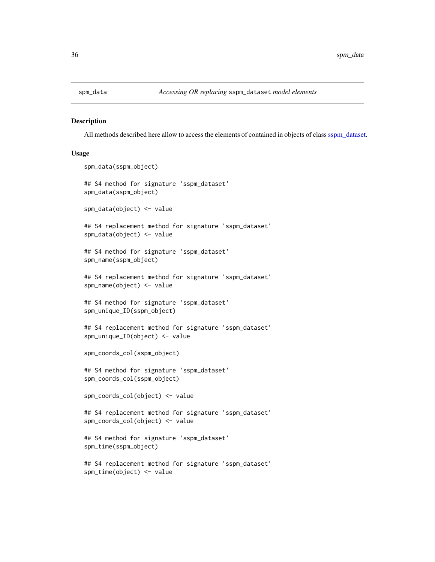<span id="page-35-0"></span>

#### Description

All methods described here allow to access the elements of contained in objects of class [sspm\\_dataset.](#page-51-1)

```
spm_data(sspm_object)
## S4 method for signature 'sspm_dataset'
spm_data(sspm_object)
spm_data(object) <- value
## S4 replacement method for signature 'sspm_dataset'
spm_data(object) <- value
## S4 method for signature 'sspm_dataset'
spm_name(sspm_object)
## S4 replacement method for signature 'sspm_dataset'
spm_name(object) <- value
## S4 method for signature 'sspm_dataset'
spm_unique_ID(sspm_object)
## S4 replacement method for signature 'sspm_dataset'
spm_unique_ID(object) <- value
spm_coords_col(sspm_object)
## S4 method for signature 'sspm_dataset'
spm_coords_col(sspm_object)
spm_coords_col(object) <- value
## S4 replacement method for signature 'sspm_dataset'
spm_coords_col(object) <- value
## S4 method for signature 'sspm_dataset'
spm_time(sspm_object)
## S4 replacement method for signature 'sspm_dataset'
```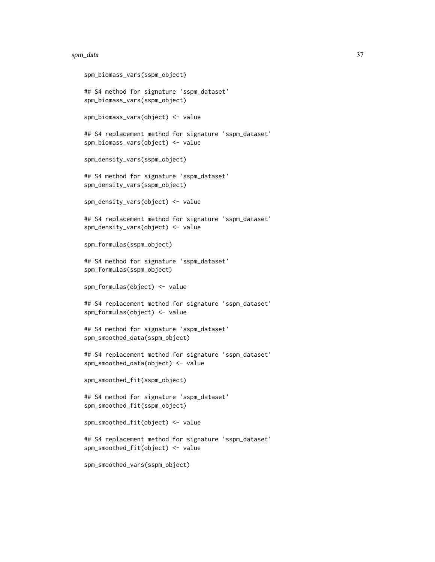#### spm\_data 37

```
spm_biomass_vars(sspm_object)
## S4 method for signature 'sspm_dataset'
spm_biomass_vars(sspm_object)
spm_biomass_vars(object) <- value
## S4 replacement method for signature 'sspm_dataset'
spm_biomass_vars(object) <- value
spm_density_vars(sspm_object)
## S4 method for signature 'sspm_dataset'
spm_density_vars(sspm_object)
spm_density_vars(object) <- value
## S4 replacement method for signature 'sspm_dataset'
spm_density_vars(object) <- value
spm_formulas(sspm_object)
## S4 method for signature 'sspm_dataset'
spm_formulas(sspm_object)
spm_formulas(object) <- value
## S4 replacement method for signature 'sspm_dataset'
spm_formulas(object) <- value
## S4 method for signature 'sspm_dataset'
spm_smoothed_data(sspm_object)
## S4 replacement method for signature 'sspm_dataset'
spm_smoothed_data(object) <- value
spm_smoothed_fit(sspm_object)
## S4 method for signature 'sspm_dataset'
spm_smoothed_fit(sspm_object)
spm_smoothed_fit(object) <- value
## S4 replacement method for signature 'sspm_dataset'
spm_smoothed_fit(object) <- value
```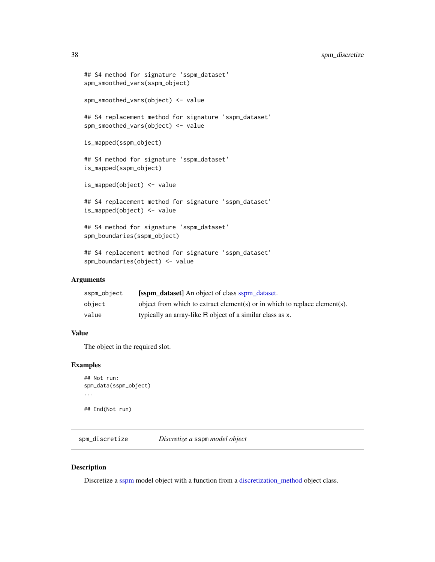## <span id="page-37-0"></span>38 spm\_discretize

```
## S4 method for signature 'sspm_dataset'
spm_smoothed_vars(sspm_object)
spm_smoothed_vars(object) <- value
## S4 replacement method for signature 'sspm_dataset'
spm_smoothed_vars(object) <- value
is_mapped(sspm_object)
## S4 method for signature 'sspm_dataset'
is_mapped(sspm_object)
is_mapped(object) <- value
## S4 replacement method for signature 'sspm_dataset'
is_mapped(object) <- value
## S4 method for signature 'sspm_dataset'
spm_boundaries(sspm_object)
## S4 replacement method for signature 'sspm_dataset'
spm_boundaries(object) <- value
```
#### Arguments

| sspm_object | <b>Solution</b> dataset An object of class sspm dataset.                   |
|-------------|----------------------------------------------------------------------------|
| obiect      | object from which to extract element(s) or in which to replace element(s). |
| value       | typically an array-like R object of a similar class as x.                  |

#### Value

The object in the required slot.

#### Examples

```
## Not run:
spm_data(sspm_object)
...
## End(Not run)
```
<span id="page-37-1"></span>spm\_discretize *Discretize a* sspm *model object*

#### Description

Discretize a [sspm](#page-50-3) model object with a function from a [discretization\\_method](#page-4-1) object class.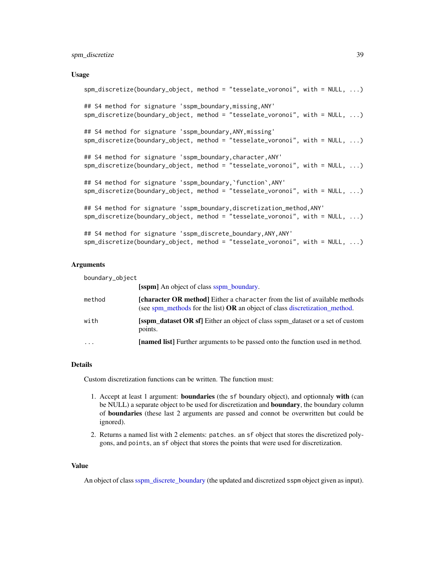## <span id="page-38-0"></span>spm\_discretize 39

#### Usage

```
spm_discretize(boundary_object, method = "tesselate_voronoi", with = NULL, ...)
## S4 method for signature 'sspm_boundary,missing,ANY'
spm_discretize(boundary_object, method = "tesselate_voronoi", with = NULL, ...)
## S4 method for signature 'sspm_boundary,ANY,missing'
spm_discretize(boundary_object, method = "tesselate_voronoi", with = NULL, ...)
## S4 method for signature 'sspm_boundary,character,ANY'
spm_discretize(boundary_object, method = "tesselate_voronoi", with = NULL, ...)
## S4 method for signature 'sspm_boundary,`function`,ANY'
spm_discretize(boundary_object, method = "tesselate_voronoi", with = NULL, ...)
## S4 method for signature 'sspm_boundary,discretization_method,ANY'
spm_discretize(boundary_object, method = "tesselate_voronoi", with = NULL, ...)
## S4 method for signature 'sspm_discrete_boundary,ANY,ANY'
spm_discretize(boundary_object, method = "tesselate_voronoi", with = NULL, ...)
```
## Arguments

| boundary_object |                                                                                                                                                            |
|-----------------|------------------------------------------------------------------------------------------------------------------------------------------------------------|
|                 | <b>Solution</b> An object of class sspm boundary.                                                                                                          |
| method          | [character OR method] Either a character from the list of available methods<br>(see spm_methods for the list) OR an object of class discretization_method. |
| with            | [sspm_dataset OR sf] Either an object of class sspm_dataset or a set of custom<br>points.                                                                  |
| $\cdots$        | [named list] Further arguments to be passed onto the function used in method.                                                                              |

#### Details

Custom discretization functions can be written. The function must:

- 1. Accept at least 1 argument: **boundaries** (the sf boundary object), and optionnaly with (can be NULL) a separate object to be used for discretization and **boundary**, the boundary column of boundaries (these last 2 arguments are passed and connot be overwritten but could be ignored).
- 2. Returns a named list with 2 elements: patches. an sf object that stores the discretized polygons, and points, an sf object that stores the points that were used for discretization.

#### Value

An object of class [sspm\\_discrete\\_boundary](#page-50-3) (the updated and discretized sspm object given as input).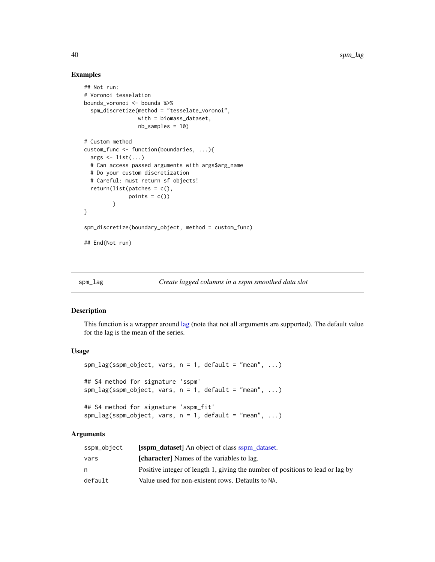### Examples

```
## Not run:
# Voronoi tesselation
bounds_voronoi <- bounds %>%
  spm_discretize(method = "tesselate_voronoi",
                 with = biomass_dataset,
                 nb_samples = 10)
# Custom method
custom_func <- function(boundaries, ...){
  args \le list(...)# Can access passed arguments with args$arg_name
  # Do your custom discretization
  # Careful: must return sf objects!
  return(list(patches = c(),
              points = c())
}
spm_discretize(boundary_object, method = custom_func)
## End(Not run)
```
#### spm\_lag *Create lagged columns in a sspm smoothed data slot*

#### Description

This function is a wrapper around [lag](#page-0-0) (note that not all arguments are supported). The default value for the lag is the mean of the series.

#### Usage

```
spm_lag(sspm_oobject, vars, n = 1, default = "mean", ...)## S4 method for signature 'sspm'
spm_lag(sspm_oobject, vars, n = 1, default = "mean", ...)## S4 method for signature 'sspm_fit'
spm_lag(sspm_object, vars, n = 1, default = "mean", ...)
```
### Arguments

| sspm_object | <b>Solution</b> dataset An object of class sspm dataset.                       |
|-------------|--------------------------------------------------------------------------------|
| vars        | <b>[character]</b> Names of the variables to lag.                              |
| n           | Positive integer of length 1, giving the number of positions to lead or lag by |
| default     | Value used for non-existent rows. Defaults to NA.                              |

<span id="page-39-0"></span>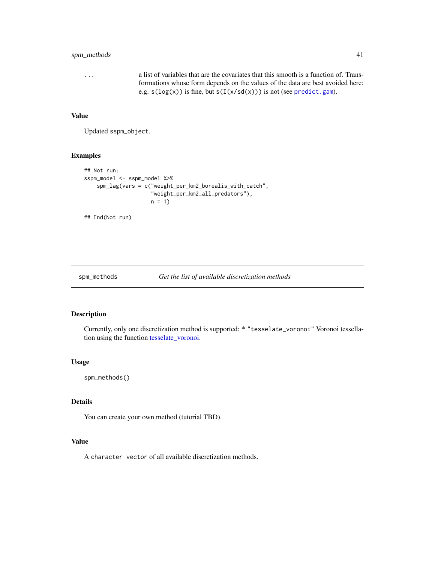## <span id="page-40-0"></span>spm\_methods 41

... a list of variables that are the covariates that this smooth is a function of. Transformations whose form depends on the values of the data are best avoided here: e.g.  $s(log(x))$  is fine, but  $s(I(x/sd(x)))$  is not (see [predict.gam](#page-0-0)).

#### Value

Updated sspm\_object.

## Examples

```
## Not run:
sspm_model <- sspm_model %>%
    spm_lag(vars = c("weight_per_km2_borealis_with_catch",
                     "weight_per_km2_all_predators"),
                    n = 1
```
## End(Not run)

<span id="page-40-1"></span>spm\_methods *Get the list of available discretization methods*

#### Description

Currently, only one discretization method is supported: \* "tesselate\_voronoi" Voronoi tessellation using the function [tesselate\\_voronoi.](#page-52-2)

#### Usage

spm\_methods()

## Details

You can create your own method (tutorial TBD).

## Value

A character vector of all available discretization methods.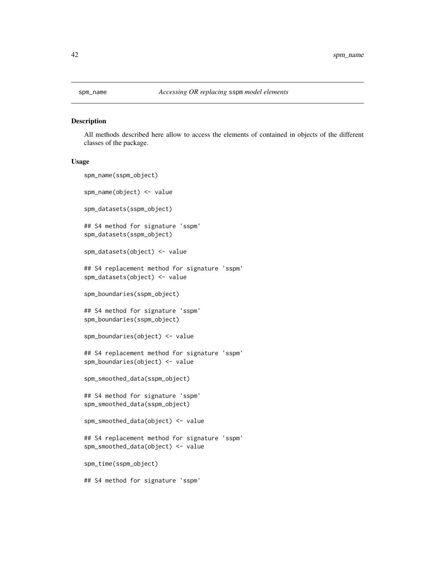<span id="page-41-0"></span>

#### Description

All methods described here allow to access the elements of contained in objects of the different classes of the package.

```
spm_name(sspm_object)
spm_name(object) <- value
spm_datasets(sspm_object)
## S4 method for signature 'sspm'
spm_datasets(sspm_object)
spm_datasets(object) <- value
## S4 replacement method for signature 'sspm'
spm_datasets(object) <- value
spm_boundaries(sspm_object)
## S4 method for signature 'sspm'
spm_boundaries(sspm_object)
spm_boundaries(object) <- value
## S4 replacement method for signature 'sspm'
spm_boundaries(object) <- value
spm_smoothed_data(sspm_object)
## S4 method for signature 'sspm'
spm_smoothed_data(sspm_object)
spm_smoothed_data(object) <- value
## S4 replacement method for signature 'sspm'
spm_smoothed_data(object) <- value
spm_time(sspm_object)
## S4 method for signature 'sspm'
```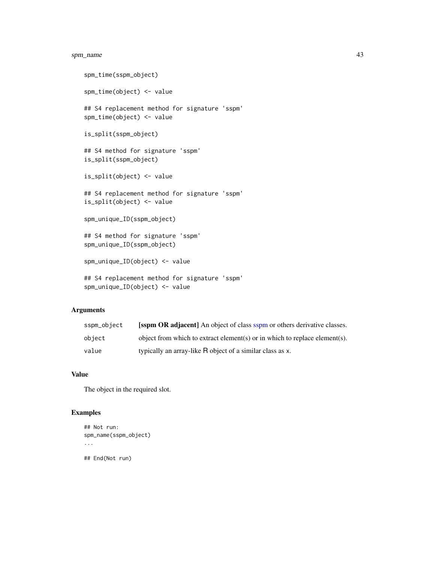## <span id="page-42-0"></span>spm\_name 43

```
spm_time(sspm_object)
spm_time(object) <- value
## S4 replacement method for signature 'sspm'
spm_time(object) <- value
is_split(sspm_object)
## S4 method for signature 'sspm'
is_split(sspm_object)
is_split(object) <- value
## S4 replacement method for signature 'sspm'
is_split(object) <- value
spm_unique_ID(sspm_object)
## S4 method for signature 'sspm'
spm_unique_ID(sspm_object)
spm_unique_ID(object) <- value
## S4 replacement method for signature 'sspm'
spm_unique_ID(object) <- value
```
## Arguments

| sspm_object | <b>Solution</b> OR adjacent An object of class sspm or others derivative classes. |
|-------------|-----------------------------------------------------------------------------------|
| obiect      | object from which to extract element(s) or in which to replace element(s).        |
| value       | typically an array-like R object of a similar class as x.                         |

## Value

The object in the required slot.

## Examples

```
## Not run:
spm_name(sspm_object)
...
## End(Not run)
```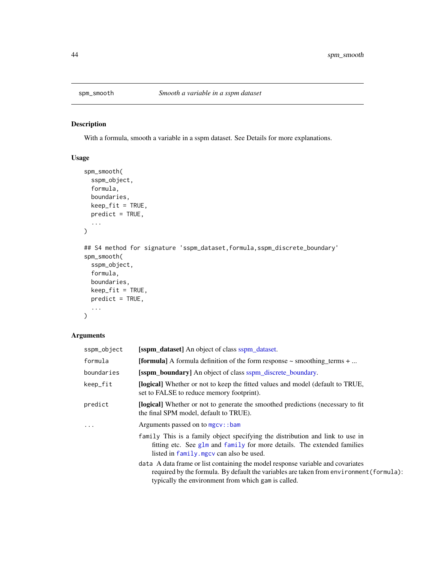<span id="page-43-0"></span>

## Description

With a formula, smooth a variable in a sspm dataset. See Details for more explanations.

## Usage

```
spm_smooth(
  sspm_object,
  formula,
  boundaries,
  keep_fit = TRUE,
  predict = TRUE,
  ...
\mathcal{L}## S4 method for signature 'sspm_dataset, formula, sspm_discrete_boundary'
spm_smooth(
  sspm_object,
  formula,
  boundaries,
  keep\_fit = TRUE,predict = TRUE,
  ...
\mathcal{L}
```
## Arguments

| sspm_object | <b>Solution [sspm_dataset]</b> An object of class sspm_dataset.                                                                                                                                                                   |
|-------------|-----------------------------------------------------------------------------------------------------------------------------------------------------------------------------------------------------------------------------------|
| formula     | <b>[formula]</b> A formula definition of the form response $\sim$ smoothing terms $+ \dots$                                                                                                                                       |
| boundaries  | <b>[sspm_boundary]</b> An object of class sspm_discrete_boundary.                                                                                                                                                                 |
| keep_fit    | [logical] Whether or not to keep the fitted values and model (default to TRUE,<br>set to FALSE to reduce memory footprint).                                                                                                       |
| predict     | <b>[logical]</b> Whether or not to generate the smoothed predictions (necessary to fit<br>the final SPM model, default to TRUE).                                                                                                  |
| $\ddots$    | Arguments passed on to mgcv::bam                                                                                                                                                                                                  |
|             | family This is a family object specifying the distribution and link to use in<br>fitting etc. See glm and family for more details. The extended families<br>listed in family. mgcv can also be used.                              |
|             | data A data frame or list containing the model response variable and covariates<br>required by the formula. By default the variables are taken from environment (formula):<br>typically the environment from which gam is called. |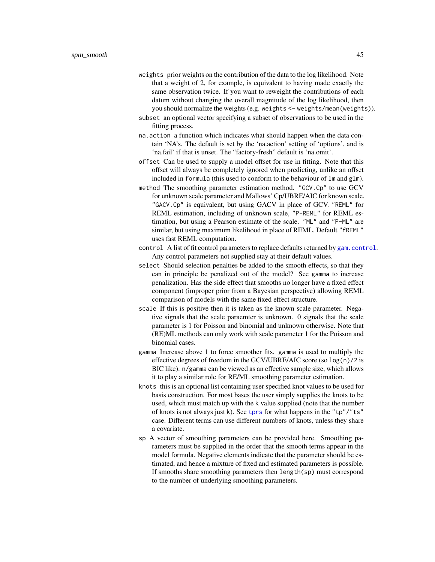- <span id="page-44-0"></span>weights prior weights on the contribution of the data to the log likelihood. Note that a weight of 2, for example, is equivalent to having made exactly the same observation twice. If you want to reweight the contributions of each datum without changing the overall magnitude of the log likelihood, then you should normalize the weights (e.g. weights <- weights/mean(weights)).
- subset an optional vector specifying a subset of observations to be used in the fitting process.
- na.action a function which indicates what should happen when the data contain 'NA's. The default is set by the 'na.action' setting of 'options', and is 'na.fail' if that is unset. The "factory-fresh" default is 'na.omit'.
- offset Can be used to supply a model offset for use in fitting. Note that this offset will always be completely ignored when predicting, unlike an offset included in formula (this used to conform to the behaviour of lm and glm).
- method The smoothing parameter estimation method. "GCV.Cp" to use GCV for unknown scale parameter and Mallows' Cp/UBRE/AIC for known scale. "GACV.Cp" is equivalent, but using GACV in place of GCV. "REML" for REML estimation, including of unknown scale, "P-REML" for REML estimation, but using a Pearson estimate of the scale. "ML" and "P-ML" are similar, but using maximum likelihood in place of REML. Default "fREML" uses fast REML computation.
- control A list of fit control parameters to replace defaults returned by [gam.control](#page-0-0). Any control parameters not supplied stay at their default values.
- select Should selection penalties be added to the smooth effects, so that they can in principle be penalized out of the model? See gamma to increase penalization. Has the side effect that smooths no longer have a fixed effect component (improper prior from a Bayesian perspective) allowing REML comparison of models with the same fixed effect structure.
- scale If this is positive then it is taken as the known scale parameter. Negative signals that the scale paraemter is unknown. 0 signals that the scale parameter is 1 for Poisson and binomial and unknown otherwise. Note that (RE)ML methods can only work with scale parameter 1 for the Poisson and binomial cases.
- gamma Increase above 1 to force smoother fits. gamma is used to multiply the effective degrees of freedom in the GCV/UBRE/AIC score (so log(n)/2 is BIC like). n/gamma can be viewed as an effective sample size, which allows it to play a similar role for RE/ML smoothing parameter estimation.
- knots this is an optional list containing user specified knot values to be used for basis construction. For most bases the user simply supplies the knots to be used, which must match up with the k value supplied (note that the number of knots is not always just k). See [tprs](#page-0-0) for what happens in the "tp"/"ts" case. Different terms can use different numbers of knots, unless they share a covariate.
- sp A vector of smoothing parameters can be provided here. Smoothing parameters must be supplied in the order that the smooth terms appear in the model formula. Negative elements indicate that the parameter should be estimated, and hence a mixture of fixed and estimated parameters is possible. If smooths share smoothing parameters then length(sp) must correspond to the number of underlying smoothing parameters.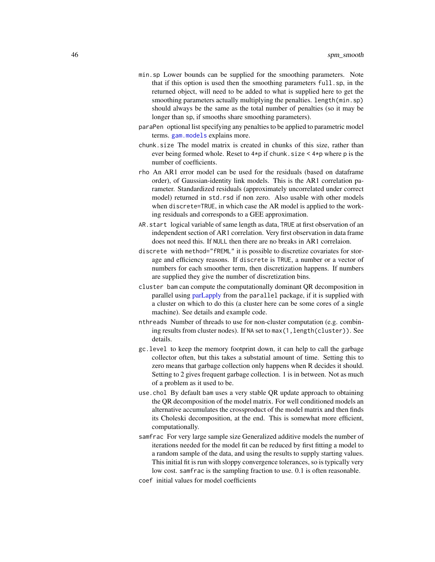- <span id="page-45-0"></span>min.sp Lower bounds can be supplied for the smoothing parameters. Note that if this option is used then the smoothing parameters full.sp, in the returned object, will need to be added to what is supplied here to get the smoothing parameters actually multiplying the penalties. length(min.sp) should always be the same as the total number of penalties (so it may be longer than sp, if smooths share smoothing parameters).
- paraPen optional list specifying any penalties to be applied to parametric model terms. [gam.models](#page-0-0) explains more.
- chunk.size The model matrix is created in chunks of this size, rather than ever being formed whole. Reset to  $4*pi$  if chunk. size  $4*pi$  where p is the number of coefficients.
- rho An AR1 error model can be used for the residuals (based on dataframe order), of Gaussian-identity link models. This is the AR1 correlation parameter. Standardized residuals (approximately uncorrelated under correct model) returned in std.rsd if non zero. Also usable with other models when discrete=TRUE, in which case the AR model is applied to the working residuals and corresponds to a GEE approximation.
- AR.start logical variable of same length as data, TRUE at first observation of an independent section of AR1 correlation. Very first observation in data frame does not need this. If NULL then there are no breaks in AR1 correlaion.
- discrete with method="fREML" it is possible to discretize covariates for storage and efficiency reasons. If discrete is TRUE, a number or a vector of numbers for each smoother term, then discretization happens. If numbers are supplied they give the number of discretization bins.
- cluster bam can compute the computationally dominant QR decomposition in parallel using [parLapply](#page-0-0) from the parallel package, if it is supplied with a cluster on which to do this (a cluster here can be some cores of a single machine). See details and example code.
- nthreads Number of threads to use for non-cluster computation (e.g. combining results from cluster nodes). If NA set to max(1, length(cluster)). See details.
- gc.level to keep the memory footprint down, it can help to call the garbage collector often, but this takes a substatial amount of time. Setting this to zero means that garbage collection only happens when R decides it should. Setting to 2 gives frequent garbage collection. 1 is in between. Not as much of a problem as it used to be.
- use.chol By default bam uses a very stable QR update approach to obtaining the QR decomposition of the model matrix. For well conditioned models an alternative accumulates the crossproduct of the model matrix and then finds its Choleski decomposition, at the end. This is somewhat more efficient, computationally.
- samfrac For very large sample size Generalized additive models the number of iterations needed for the model fit can be reduced by first fitting a model to a random sample of the data, and using the results to supply starting values. This initial fit is run with sloppy convergence tolerances, so is typically very low cost. samfrac is the sampling fraction to use. 0.1 is often reasonable.
- coef initial values for model coefficients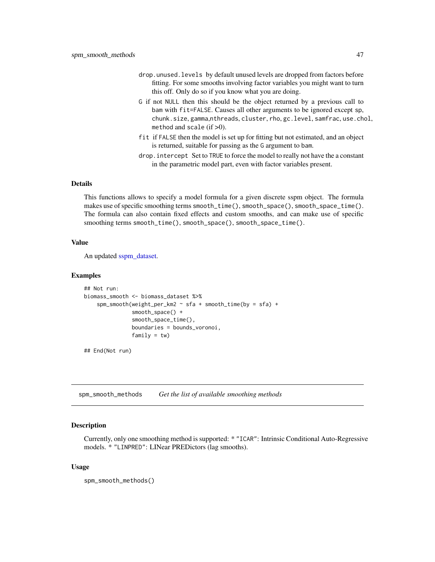- <span id="page-46-0"></span>drop.unused.levels by default unused levels are dropped from factors before fitting. For some smooths involving factor variables you might want to turn this off. Only do so if you know what you are doing.
- G if not NULL then this should be the object returned by a previous call to bam with fit=FALSE. Causes all other arguments to be ignored except sp, chunk.size, gamma,nthreads, cluster, rho, gc.level, samfrac, use.chol, method and scale  $(if > 0)$ .
- fit if FALSE then the model is set up for fitting but not estimated, and an object is returned, suitable for passing as the G argument to bam.
- drop.intercept Set to TRUE to force the model to really not have the a constant in the parametric model part, even with factor variables present.

## Details

This functions allows to specify a model formula for a given discrete sspm object. The formula makes use of specific smoothing terms smooth\_time(), smooth\_space(), smooth\_space\_time(). The formula can also contain fixed effects and custom smooths, and can make use of specific smoothing terms smooth\_time(), smooth\_space(), smooth\_space\_time().

## Value

An updated [sspm\\_dataset.](#page-51-1)

#### Examples

```
## Not run:
biomass_smooth <- biomass_dataset %>%
    spm_smooth(weight_per_km2 ~ sfa + smooth_time(by = sfa) +
               smooth_space() +
               smooth_space_time(),
               boundaries = bounds_voronoi,
               family = tw)
```
## End(Not run)

spm\_smooth\_methods *Get the list of available smoothing methods*

#### Description

Currently, only one smoothing method is supported: \* "ICAR": Intrinsic Conditional Auto-Regressive models. \* "LINPRED": LINear PREDictors (lag smooths).

#### Usage

spm\_smooth\_methods()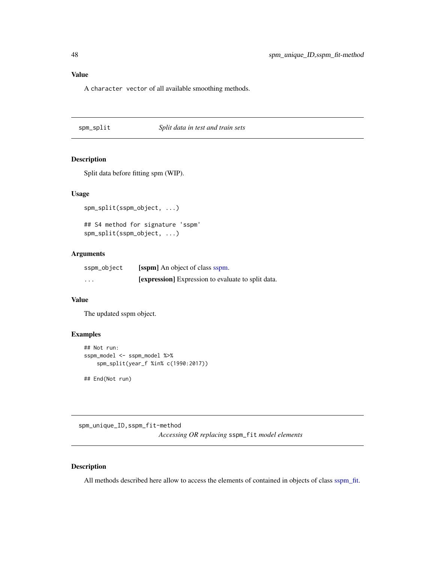## <span id="page-47-0"></span>Value

A character vector of all available smoothing methods.

#### spm\_split *Split data in test and train sets*

## Description

Split data before fitting spm (WIP).

## Usage

spm\_split(sspm\_object, ...)

## S4 method for signature 'sspm' spm\_split(sspm\_object, ...)

## Arguments

| sspm_object             | [sspm] An object of class sspm.                           |
|-------------------------|-----------------------------------------------------------|
| $\cdot$ $\cdot$ $\cdot$ | <b>[expression]</b> Expression to evaluate to split data. |

## Value

The updated sspm object.

## Examples

```
## Not run:
sspm_model <- sspm_model %>%
   spm_split(year_f %in% c(1990:2017))
## End(Not run)
```
spm\_unique\_ID,sspm\_fit-method *Accessing OR replacing* sspm\_fit *model elements*

## Description

All methods described here allow to access the elements of contained in objects of class [sspm\\_fit.](#page-51-2)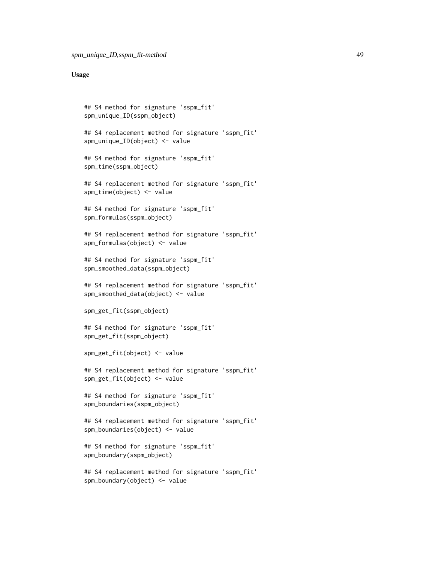```
## S4 method for signature 'sspm_fit'
spm_unique_ID(sspm_object)
## S4 replacement method for signature 'sspm_fit'
spm_unique_ID(object) <- value
## S4 method for signature 'sspm_fit'
spm_time(sspm_object)
## S4 replacement method for signature 'sspm_fit'
spm_time(object) <- value
## S4 method for signature 'sspm_fit'
spm_formulas(sspm_object)
## S4 replacement method for signature 'sspm_fit'
spm_formulas(object) <- value
## S4 method for signature 'sspm_fit'
spm_smoothed_data(sspm_object)
## S4 replacement method for signature 'sspm_fit'
spm_smoothed_data(object) <- value
spm_get_fit(sspm_object)
## S4 method for signature 'sspm_fit'
spm_get_fit(sspm_object)
spm_get_fit(object) <- value
## S4 replacement method for signature 'sspm_fit'
spm_get_fit(object) <- value
## S4 method for signature 'sspm_fit'
spm_boundaries(sspm_object)
## S4 replacement method for signature 'sspm_fit'
spm_boundaries(object) <- value
## S4 method for signature 'sspm_fit'
spm_boundary(sspm_object)
## S4 replacement method for signature 'sspm_fit'
spm_boundary(object) <- value
```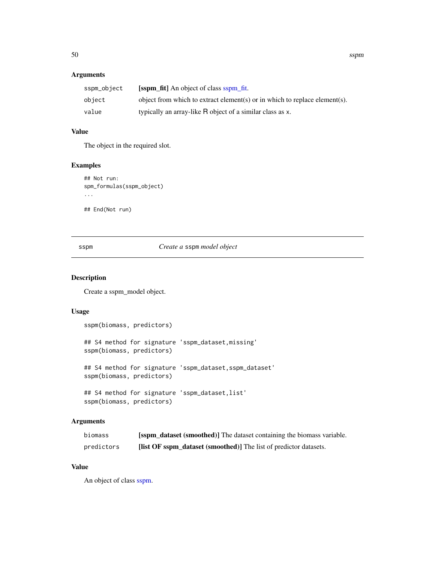## <span id="page-49-0"></span>Arguments

| sspm_object | [sspm_fit] An object of class sspm_fit.                                    |
|-------------|----------------------------------------------------------------------------|
| obiect      | object from which to extract element(s) or in which to replace element(s). |
| value       | typically an array-like R object of a similar class as x.                  |

## Value

The object in the required slot.

## Examples

```
## Not run:
spm_formulas(sspm_object)
...
## End(Not run)
```
#### sspm *Create a* sspm *model object*

## Description

Create a sspm\_model object.

#### Usage

```
sspm(biomass, predictors)
## S4 method for signature 'sspm_dataset,missing'
sspm(biomass, predictors)
## S4 method for signature 'sspm_dataset, sspm_dataset'
sspm(biomass, predictors)
## S4 method for signature 'sspm_dataset,list'
sspm(biomass, predictors)
```
## Arguments

| biomass    | <b>Solution</b> dataset (smoothed)] The dataset containing the biomass variable. |
|------------|----------------------------------------------------------------------------------|
| predictors | <b>[list OF sspm_dataset (smoothed)]</b> The list of predictor datasets.         |

#### Value

An object of class [sspm.](#page-50-3)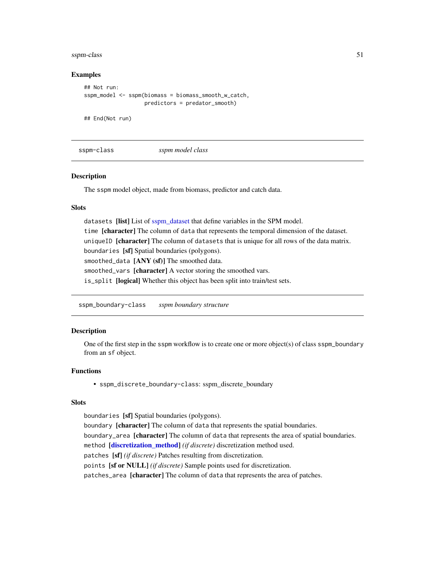#### <span id="page-50-0"></span>sspm-class 51

#### Examples

```
## Not run:
sspm_model <- sspm(biomass = biomass_smooth_w_catch,
                   predictors = predator_smooth)
## End(Not run)
```
<span id="page-50-3"></span>

sspm-class *sspm model class*

#### Description

The sspm model object, made from biomass, predictor and catch data.

#### Slots

datasets [list] List of [sspm\\_dataset](#page-51-1) that define variables in the SPM model. time [character] The column of data that represents the temporal dimension of the dataset. uniqueID [character] The column of datasets that is unique for all rows of the data matrix. boundaries [sf] Spatial boundaries (polygons). smoothed\_data [ANY (sf)] The smoothed data. smoothed\_vars [character] A vector storing the smoothed vars. is\_split [logical] Whether this object has been split into train/test sets.

<span id="page-50-1"></span>sspm\_boundary-class *sspm boundary structure*

#### <span id="page-50-2"></span>Description

One of the first step in the sspm workflow is to create one or more object(s) of class sspm\_boundary from an sf object.

#### Functions

• sspm\_discrete\_boundary-class: sspm\_discrete\_boundary

#### **Slots**

boundaries [sf] Spatial boundaries (polygons).

boundary [character] The column of data that represents the spatial boundaries. boundary\_area [character] The column of data that represents the area of spatial boundaries. method [\[discretization\\_method\]](#page-4-1) *(if discrete)* discretization method used. patches [sf] *(if discrete)* Patches resulting from discretization. points [sf or NULL] *(if discrete)* Sample points used for discretization. patches\_area [character] The column of data that represents the area of patches.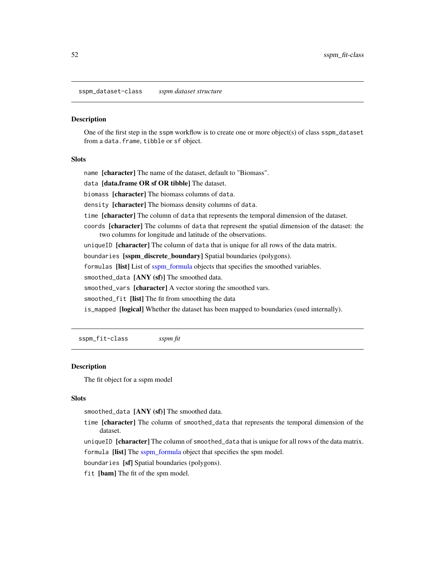<span id="page-51-1"></span><span id="page-51-0"></span>sspm\_dataset-class *sspm dataset structure*

#### Description

One of the first step in the sspm workflow is to create one or more object(s) of class sspm\_dataset from a data.frame, tibble or sf object.

#### **Slots**

name [character] The name of the dataset, default to "Biomass".

data [data.frame OR sf OR tibble] The dataset.

biomass [character] The biomass columns of data.

density [character] The biomass density columns of data.

time [character] The column of data that represents the temporal dimension of the dataset.

coords [character] The columns of data that represent the spatial dimension of the dataset: the two columns for longitude and latitude of the observations.

uniqueID [character] The column of data that is unique for all rows of the data matrix.

boundaries [sspm\_discrete\_boundary] Spatial boundaries (polygons).

formulas [list] List of [sspm\\_formula](#page-52-1) objects that specifies the smoothed variables.

smoothed\_data [ANY (sf)] The smoothed data.

smoothed\_vars [character] A vector storing the smoothed vars.

smoothed\_fit [list] The fit from smoothing the data

is\_mapped [logical] Whether the dataset has been mapped to boundaries (used internally).

<span id="page-51-2"></span>sspm\_fit-class *sspm fit*

#### **Description**

The fit object for a sspm model

#### Slots

smoothed\_data [ANY (sf)] The smoothed data.

time [character] The column of smoothed\_data that represents the temporal dimension of the dataset.

uniqueID [character] The column of smoothed\_data that is unique for all rows of the data matrix. formula [list] The [sspm\\_formula](#page-52-1) object that specifies the spm model.

boundaries [sf] Spatial boundaries (polygons).

fit [bam] The fit of the spm model.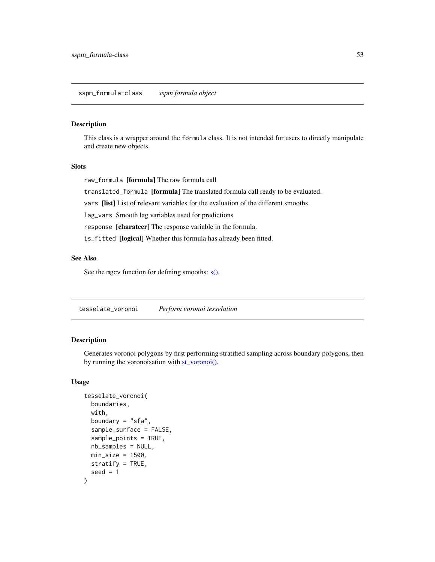### <span id="page-52-1"></span><span id="page-52-0"></span>Description

This class is a wrapper around the formula class. It is not intended for users to directly manipulate and create new objects.

#### Slots

raw\_formula [formula] The raw formula call

translated\_formula [formula] The translated formula call ready to be evaluated.

vars [list] List of relevant variables for the evaluation of the different smooths.

lag\_vars Smooth lag variables used for predictions

response [charatcer] The response variable in the formula.

is\_fitted [logical] Whether this formula has already been fitted.

#### See Also

See the mgcv function for defining smooths:  $s()$ .

<span id="page-52-2"></span>tesselate\_voronoi *Perform voronoi tesselation*

## Description

Generates voronoi polygons by first performing stratified sampling across boundary polygons, then by running the voronoisation with [st\\_voronoi\(\).](#page-0-0)

```
tesselate_voronoi(
  boundaries,
 with,
 boundary = "sfa",
  sample_surface = FALSE,
  sample_points = TRUE,
 nb_samples = NULL,
 min\_size = 1500,
 stratify = TRUE,
  seed = 1)
```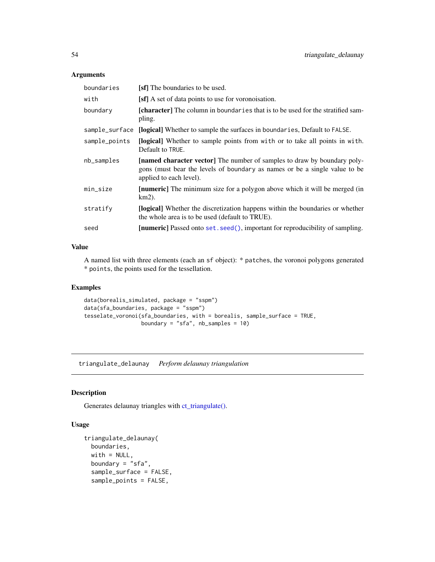## <span id="page-53-0"></span>Arguments

| boundaries     | <b>[sf]</b> The boundaries to be used.                                                                                                                                            |
|----------------|-----------------------------------------------------------------------------------------------------------------------------------------------------------------------------------|
| with           | [sf] A set of data points to use for voronoisation.                                                                                                                               |
| boundary       | <b>[character]</b> The column in boundaries that is to be used for the stratified sam-<br>pling.                                                                                  |
| sample_surface | [logical] Whether to sample the surfaces in boundaries, Default to FALSE.                                                                                                         |
| sample_points  | <b>[logical]</b> Whether to sample points from with or to take all points in with.<br>Default to TRUE.                                                                            |
| $nb$ _samples  | [named character vector] The number of samples to draw by boundary poly-<br>gons (must bear the levels of boundary as names or be a single value to be<br>applied to each level). |
| min_size       | [numeric] The minimum size for a polygon above which it will be merged (in<br>km2).                                                                                               |
| stratify       | [logical] Whether the discretization happens within the boundaries or whether<br>the whole area is to be used (default to TRUE).                                                  |
| seed           | [numeric] Passed onto set. seed(), important for reproducibility of sampling.                                                                                                     |

## Value

A named list with three elements (each an sf object): \* patches, the voronoi polygons generated \* points, the points used for the tessellation.

## Examples

```
data(borealis_simulated, package = "sspm")
data(sfa_boundaries, package = "sspm")
tesselate_voronoi(sfa_boundaries, with = borealis, sample_surface = TRUE,
                 boundary = "sfa", nb_samples = 10)
```
triangulate\_delaunay *Perform delaunay triangulation*

## Description

Generates delaunay triangles with [ct\\_triangulate\(\).](#page-0-0)

```
triangulate_delaunay(
 boundaries,
 with = NULL,boundary = "sfa",
  sample_surface = FALSE,
  sample_points = FALSE,
```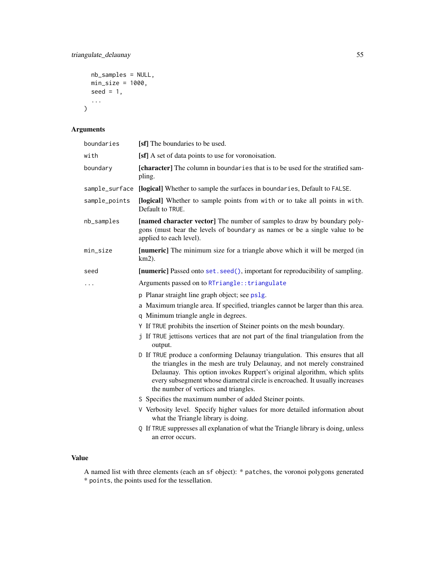```
nb_samples = NULL,
 min_size = 1000,
 seed = 1,
  ...
)
```
## Arguments

| boundaries     | [sf] The boundaries to be used.                                                                                                                                                                                                                                                                                                                              |  |
|----------------|--------------------------------------------------------------------------------------------------------------------------------------------------------------------------------------------------------------------------------------------------------------------------------------------------------------------------------------------------------------|--|
| with           | [sf] A set of data points to use for voronoisation.                                                                                                                                                                                                                                                                                                          |  |
| boundary       | [character] The column in boundaries that is to be used for the stratified sam-<br>pling.                                                                                                                                                                                                                                                                    |  |
| sample_surface | [logical] Whether to sample the surfaces in boundaries, Default to FALSE.                                                                                                                                                                                                                                                                                    |  |
| sample_points  | [logical] Whether to sample points from with or to take all points in with.<br>Default to TRUE.                                                                                                                                                                                                                                                              |  |
| nb_samples     | [named character vector] The number of samples to draw by boundary poly-<br>gons (must bear the levels of boundary as names or be a single value to be<br>applied to each level).                                                                                                                                                                            |  |
| min_size       | [numeric] The minimum size for a triangle above which it will be merged (in<br>$km2$ ).                                                                                                                                                                                                                                                                      |  |
| seed           | [numeric] Passed onto set. seed(), important for reproducibility of sampling.                                                                                                                                                                                                                                                                                |  |
| $\cdots$       | Arguments passed on to RTriangle:: triangulate                                                                                                                                                                                                                                                                                                               |  |
|                | p Planar straight line graph object; see ps1g.                                                                                                                                                                                                                                                                                                               |  |
|                | a Maximum triangle area. If specified, triangles cannot be larger than this area.                                                                                                                                                                                                                                                                            |  |
|                | q Minimum triangle angle in degrees.<br>Y If TRUE prohibits the insertion of Steiner points on the mesh boundary.                                                                                                                                                                                                                                            |  |
|                | j If TRUE jettisons vertices that are not part of the final triangulation from the                                                                                                                                                                                                                                                                           |  |
|                | output.                                                                                                                                                                                                                                                                                                                                                      |  |
|                | D If TRUE produce a conforming Delaunay triangulation. This ensures that all<br>the triangles in the mesh are truly Delaunay, and not merely constrained<br>Delaunay. This option invokes Ruppert's original algorithm, which splits<br>every subsegment whose diametral circle is encroached. It usually increases<br>the number of vertices and triangles. |  |
|                | S Specifies the maximum number of added Steiner points.                                                                                                                                                                                                                                                                                                      |  |
|                | V Verbosity level. Specify higher values for more detailed information about<br>what the Triangle library is doing.                                                                                                                                                                                                                                          |  |
|                | Q If TRUE suppresses all explanation of what the Triangle library is doing, unless<br>an error occurs.                                                                                                                                                                                                                                                       |  |

## Value

A named list with three elements (each an sf object): \* patches, the voronoi polygons generated \* points, the points used for the tessellation.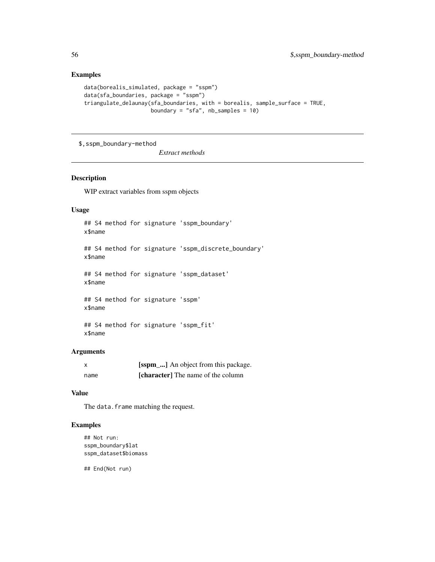## Examples

```
data(borealis_simulated, package = "sspm")
data(sfa_boundaries, package = "sspm")
triangulate_delaunay(sfa_boundaries, with = borealis, sample_surface = TRUE,
                    boundary = "sfa", nb_samples = 10)
```
\$,sspm\_boundary-method

*Extract methods*

#### Description

WIP extract variables from sspm objects

#### Usage

## S4 method for signature 'sspm\_boundary' x\$name ## S4 method for signature 'sspm\_discrete\_boundary' x\$name ## S4 method for signature 'sspm\_dataset' x\$name ## S4 method for signature 'sspm' x\$name

#### Arguments

x\$name

| $\boldsymbol{\mathsf{x}}$ | [sspm <sub>-</sub> ] An object from this package. |
|---------------------------|---------------------------------------------------|
| name                      | <b>[character]</b> The name of the column         |

#### Value

The data. frame matching the request.

## S4 method for signature 'sspm\_fit'

#### Examples

```
## Not run:
sspm_boundary$lat
sspm_dataset$biomass
```
## End(Not run)

<span id="page-55-0"></span>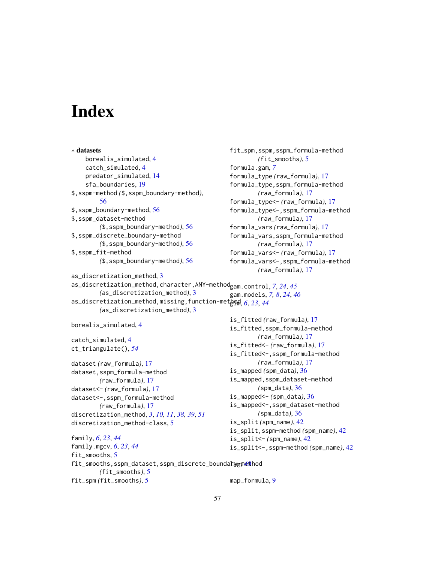# <span id="page-56-0"></span>**Index**

∗ datasets borealis\_simulated, [4](#page-3-0) catch\_simulated, [4](#page-3-0) predator\_simulated, [14](#page-13-0) sfa\_boundaries, [19](#page-18-0) \$,sspm-method *(*\$,sspm\_boundary-method*)*, [56](#page-55-0) \$,sspm\_boundary-method, [56](#page-55-0) \$,sspm\_dataset-method *(*\$,sspm\_boundary-method*)*, [56](#page-55-0) \$,sspm\_discrete\_boundary-method *(*\$,sspm\_boundary-method*)*, [56](#page-55-0) \$,sspm\_fit-method *(*\$,sspm\_boundary-method*)*, [56](#page-55-0) as\_discretization\_method, [3](#page-2-0) *(*as\_discretization\_method*)*, [3](#page-2-0) *(*as\_discretization\_method*)*, [3](#page-2-0) borealis\_simulated, [4](#page-3-0) catch\_simulated, [4](#page-3-0) ct\_triangulate(), *[54](#page-53-0)* dataset *(*raw\_formula*)*, [17](#page-16-0) dataset,sspm\_formula-method *(*raw\_formula*)*, [17](#page-16-0) dataset<- *(*raw\_formula*)*, [17](#page-16-0) dataset<-,sspm\_formula-method *(*raw\_formula*)*, [17](#page-16-0) discretization\_method, *[3](#page-2-0)*, *[10,](#page-9-0) [11](#page-10-0)*, *[38,](#page-37-0) [39](#page-38-0)*, *[51](#page-50-0)* discretization\_method-class, [5](#page-4-0) family, *[6](#page-5-0)*, *[23](#page-22-0)*, *[44](#page-43-0)* family.mgcv, *[6](#page-5-0)*, *[23](#page-22-0)*, *[44](#page-43-0)* fit\_smooths, [5](#page-4-0) fit\_smooths,sspm\_dataset,sspm\_discrete\_bounda<mark>ragm@@</mark>hod *(*fit\_smooths*)*, [5](#page-4-0) fit\_spm *(*fit\_smooths*)*, [5](#page-4-0)

fit\_spm,sspm,sspm\_formula-method *(*fit\_smooths*)*, [5](#page-4-0) formula.gam, *[7](#page-6-0)* formula\_type *(*raw\_formula*)*, [17](#page-16-0) formula\_type,sspm\_formula-method *(*raw\_formula*)*, [17](#page-16-0) formula\_type<- *(*raw\_formula*)*, [17](#page-16-0) formula\_type<-,sspm\_formula-method *(*raw\_formula*)*, [17](#page-16-0) formula\_vars *(*raw\_formula*)*, [17](#page-16-0) formula\_vars,sspm\_formula-method *(*raw\_formula*)*, [17](#page-16-0) formula\_vars<- *(*raw\_formula*)*, [17](#page-16-0) formula\_vars<-,sspm\_formula-method *(*raw\_formula*)*, [17](#page-16-0)

```
as_discretization_method,character,ANY-method
gam.control, 7, 24, 45
as_discretization_method,missing,function-met\frac{1}{2}0ml, 62344
```
gam.models, *[7,](#page-6-0) [8](#page-7-0)*, *[24](#page-23-0)*, *[46](#page-45-0)* is\_fitted *(*raw\_formula*)*, [17](#page-16-0) is\_fitted,sspm\_formula-method *(*raw\_formula*)*, [17](#page-16-0) is\_fitted<- *(*raw\_formula*)*, [17](#page-16-0) is\_fitted<-,sspm\_formula-method *(*raw\_formula*)*, [17](#page-16-0) is\_mapped *(*spm\_data*)*, [36](#page-35-0) is\_mapped,sspm\_dataset-method *(*spm\_data*)*, [36](#page-35-0)

```
is_mapped<- (spm_data), 36
is_mapped<-,sspm_dataset-method
        (spm_data), 36
is_split (spm_name), 42
```

```
is_split,sspm-method (spm_name), 42
is_split<- (spm_name), 42
```

```
is_split<-,sspm-method (spm_name), 42
```

```
map_formula, 9
```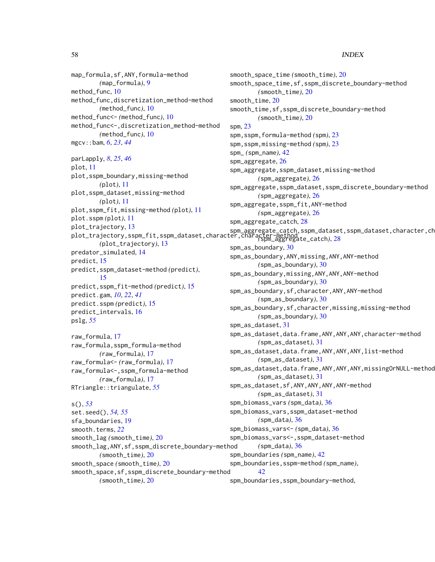map\_formula,sf,ANY,formula-method *(*map\_formula*)*, [9](#page-8-0) method\_func, [10](#page-9-0) method\_func,discretization\_method-method *(*method\_func*)*, [10](#page-9-0) method\_func<- *(*method\_func*)*, [10](#page-9-0) method\_func<-,discretization\_method-method *(*method\_func*)*, [10](#page-9-0) mgcv::bam, *[6](#page-5-0)*, *[23](#page-22-0)*, *[44](#page-43-0)* parLapply, *[8](#page-7-0)*, *[25](#page-24-0)*, *[46](#page-45-0)* plot, [11](#page-10-0) plot,sspm\_boundary,missing-method *(*plot*)*, [11](#page-10-0) plot,sspm\_dataset,missing-method *(*plot*)*, [11](#page-10-0) plot,sspm\_fit,missing-method *(*plot*)*, [11](#page-10-0) plot.sspm *(*plot*)*, [11](#page-10-0) plot\_trajectory, [13](#page-12-0) plot\_trajectory,sspm\_fit,sspm\_dataset,character,character-method *(*spm\_aggregate\_catch*)*, [28](#page-27-0) *(*plot\_trajectory*)*, [13](#page-12-0) predator\_simulated, [14](#page-13-0) predict, [15](#page-14-0) predict,sspm\_dataset-method *(*predict*)*, [15](#page-14-0) predict,sspm\_fit-method *(*predict*)*, [15](#page-14-0) predict.gam, *[10](#page-9-0)*, *[22](#page-21-0)*, *[41](#page-40-0)* predict.sspm *(*predict*)*, [15](#page-14-0) predict\_intervals, [16](#page-15-0) pslg, *[55](#page-54-0)* raw\_formula, [17](#page-16-0)

raw\_formula,sspm\_formula-method *(*raw\_formula*)*, [17](#page-16-0) raw\_formula<- *(*raw\_formula*)*, [17](#page-16-0) raw\_formula<-,sspm\_formula-method *(*raw\_formula*)*, [17](#page-16-0) RTriangle::triangulate, *[55](#page-54-0)*

#### s(), *[53](#page-52-0)*

set.seed(), *[54,](#page-53-0) [55](#page-54-0)* sfa\_boundaries, [19](#page-18-0) smooth.terms, *[22](#page-21-0)* smooth\_lag *(*smooth\_time*)*, [20](#page-19-0) smooth\_lag,ANY,sf,sspm\_discrete\_boundary-method *(*smooth\_time*)*, [20](#page-19-0) smooth\_space *(*smooth\_time*)*, [20](#page-19-0) smooth\_space,sf,sspm\_discrete\_boundary-method *(*smooth\_time*)*, [20](#page-19-0) spm\_biomass\_vars *(*spm\_data*)*, [36](#page-35-0) spm\_biomass\_vars,sspm\_dataset-method *(*spm\_data*)*, [36](#page-35-0) spm\_biomass\_vars<- *(*spm\_data*)*, [36](#page-35-0) spm\_biomass\_vars<-,sspm\_dataset-method *(*spm\_data*)*, [36](#page-35-0) spm\_boundaries *(*spm\_name*)*, [42](#page-41-0) spm\_boundaries,sspm-method *(*spm\_name*)*, [42](#page-41-0) spm\_boundaries,sspm\_boundary-method,

smooth\_space\_time *(*smooth\_time*)*, [20](#page-19-0) smooth\_space\_time,sf,sspm\_discrete\_boundary-method *(*smooth\_time*)*, [20](#page-19-0) smooth\_time, [20](#page-19-0) smooth\_time,sf,sspm\_discrete\_boundary-method *(*smooth\_time*)*, [20](#page-19-0) spm, [23](#page-22-0) spm,sspm,formula-method *(*spm*)*, [23](#page-22-0) spm,sspm,missing-method *(*spm*)*, [23](#page-22-0) spm\_ *(*spm\_name*)*, [42](#page-41-0) spm\_aggregate, [26](#page-25-0) spm\_aggregate,sspm\_dataset,missing-method *(*spm\_aggregate*)*, [26](#page-25-0) spm\_aggregate,sspm\_dataset,sspm\_discrete\_boundary-method *(*spm\_aggregate*)*, [26](#page-25-0) spm\_aggregate,sspm\_fit,ANY-method *(*spm\_aggregate*)*, [26](#page-25-0) spm\_aggregate\_catch, [28](#page-27-0) spm\_aggregate\_catch,sspm\_dataset,sspm\_dataset,character,ch spm\_as\_boundary, [30](#page-29-0) spm\_as\_boundary,ANY,missing,ANY,ANY-method *(*spm\_as\_boundary*)*, [30](#page-29-0) spm\_as\_boundary,missing,ANY,ANY,ANY-method *(*spm\_as\_boundary*)*, [30](#page-29-0) spm\_as\_boundary,sf,character,ANY,ANY-method *(*spm\_as\_boundary*)*, [30](#page-29-0) spm\_as\_boundary,sf,character,missing,missing-method *(*spm\_as\_boundary*)*, [30](#page-29-0) spm\_as\_dataset, [31](#page-30-0) spm\_as\_dataset,data.frame,ANY,ANY,ANY,character-method *(*spm\_as\_dataset*)*, [31](#page-30-0) spm\_as\_dataset,data.frame,ANY,ANY,ANY,list-method *(*spm\_as\_dataset*)*, [31](#page-30-0)

spm\_as\_dataset,data.frame,ANY,ANY,ANY,missingOrNULL-method

*(*spm\_as\_dataset*)*, [31](#page-30-0) spm\_as\_dataset,sf,ANY,ANY,ANY,ANY-method *(*spm\_as\_dataset*)*, [31](#page-30-0)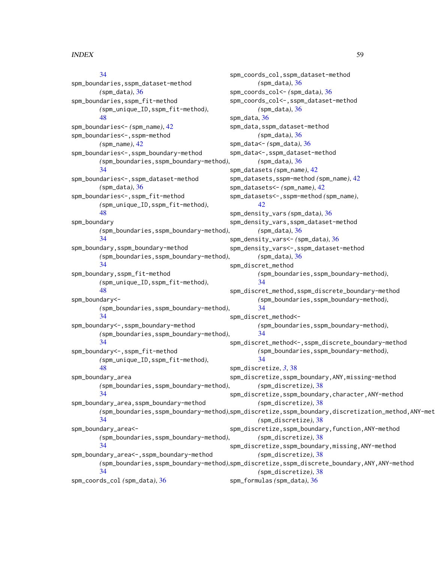[34](#page-33-0)

[48](#page-47-0)

[34](#page-33-0)

spm\_boundaries,sspm\_dataset-method *(*spm\_data*)*, [36](#page-35-0) spm\_boundaries,sspm\_fit-method

spm\_boundaries<-,sspm\_boundary-method

spm\_boundaries<-,sspm\_dataset-method

spm\_boundaries<- *(*spm\_name*)*, [42](#page-41-0) spm\_boundaries<-,sspm-method *(*spm\_name*)*, [42](#page-41-0)

*(*spm\_data*)*, [36](#page-35-0)

*(*spm\_unique\_ID,sspm\_fit-method*)*,

*(*spm\_boundaries,sspm\_boundary-method*)*, spm\_coords\_col,sspm\_dataset-method *(*spm\_data*)*, [36](#page-35-0) spm\_coords\_col<- *(*spm\_data*)*, [36](#page-35-0) spm\_coords\_col<-,sspm\_dataset-method *(*spm\_data*)*, [36](#page-35-0) spm\_data, [36](#page-35-0) spm\_data,sspm\_dataset-method *(*spm\_data*)*, [36](#page-35-0) spm\_data<- *(*spm\_data*)*, [36](#page-35-0) spm\_data<-,sspm\_dataset-method *(*spm\_data*)*, [36](#page-35-0) spm\_datasets *(*spm\_name*)*, [42](#page-41-0) spm\_datasets,sspm-method *(*spm\_name*)*, [42](#page-41-0) spm\_datasets<- *(*spm\_name*)*, [42](#page-41-0) spm\_datasets<-,sspm-method *(*spm\_name*)*, [42](#page-41-0)

*(*spm\_data*)*, [36](#page-35-0)

## spm\_boundaries<-,sspm\_fit-method *(*spm\_unique\_ID,sspm\_fit-method*)*, [48](#page-47-0) spm\_boundary *(*spm\_boundaries,sspm\_boundary-method*)*, [34](#page-33-0) spm\_boundary,sspm\_boundary-method *(*spm\_boundaries,sspm\_boundary-method*)*, [34](#page-33-0) spm\_boundary,sspm\_fit-method *(*spm\_unique\_ID,sspm\_fit-method*)*, [48](#page-47-0) spm\_boundary<- *(*spm\_boundaries,sspm\_boundary-method*)*, [34](#page-33-0) spm\_boundary<-,sspm\_boundary-method *(*spm\_boundaries,sspm\_boundary-method*)*, [34](#page-33-0) spm\_boundary<-,sspm\_fit-method *(*spm\_unique\_ID,sspm\_fit-method*)*, [48](#page-47-0) spm\_density\_vars *(*spm\_data*)*, [36](#page-35-0) spm\_density\_vars,sspm\_dataset-method

spm\_boundary\_area *(*spm\_boundaries,sspm\_boundary-method*)*, [34](#page-33-0) spm\_boundary\_area,sspm\_boundary-method *(*spm\_boundaries,sspm\_boundary-method*)*, spm\_discretize,sspm\_boundary,discretization\_method,ANY-method [34](#page-33-0) spm\_boundary\_area<- *(*spm\_boundaries,sspm\_boundary-method*)*, [34](#page-33-0) spm\_boundary\_area<-,sspm\_boundary-method *(*spm\_boundaries,sspm\_boundary-method*)*, spm\_discretize,sspm\_discrete\_boundary,ANY,ANY-method [34](#page-33-0) spm\_coords\_col *(*spm\_data*)*, [36](#page-35-0) spm\_density\_vars<- *(*spm\_data*)*, [36](#page-35-0) spm\_density\_vars<-,sspm\_dataset-method *(*spm\_data*)*, [36](#page-35-0) spm\_discret\_method *(*spm\_boundaries,sspm\_boundary-method*)*, [34](#page-33-0) spm\_discret\_method,sspm\_discrete\_boundary-method *(*spm\_boundaries,sspm\_boundary-method*)*, [34](#page-33-0) spm\_discret\_method<- *(*spm\_boundaries,sspm\_boundary-method*)*, [34](#page-33-0) spm\_discret\_method<-,sspm\_discrete\_boundary-method *(*spm\_boundaries,sspm\_boundary-method*)*, [34](#page-33-0) spm\_discretize, *[3](#page-2-0)*, [38](#page-37-0) spm\_discretize,sspm\_boundary,ANY,missing-method *(*spm\_discretize*)*, [38](#page-37-0) spm\_discretize,sspm\_boundary,character,ANY-method *(*spm\_discretize*)*, [38](#page-37-0) *(*spm\_discretize*)*, [38](#page-37-0) spm\_discretize,sspm\_boundary,function,ANY-method *(*spm\_discretize*)*, [38](#page-37-0) spm\_discretize,sspm\_boundary,missing,ANY-method *(*spm\_discretize*)*, [38](#page-37-0) *(*spm\_discretize*)*, [38](#page-37-0) spm\_formulas *(*spm\_data*)*, [36](#page-35-0)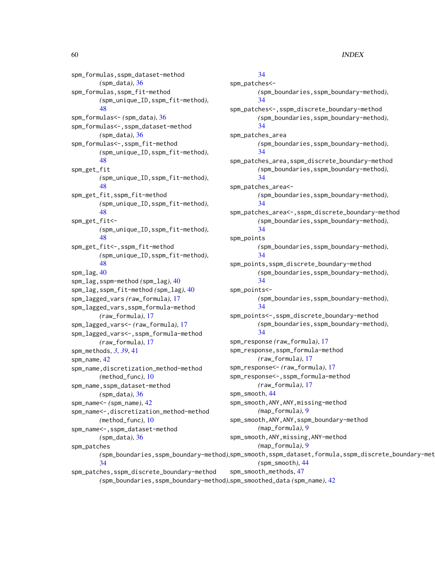spm\_formulas,sspm\_dataset-method *(*spm\_data*)*, [36](#page-35-0) spm\_formulas,sspm\_fit-method *(*spm\_unique\_ID,sspm\_fit-method*)*, [48](#page-47-0) spm\_formulas<- *(*spm\_data*)*, [36](#page-35-0) spm\_formulas<-,sspm\_dataset-method *(*spm\_data*)*, [36](#page-35-0) spm\_formulas<-,sspm\_fit-method *(*spm\_unique\_ID,sspm\_fit-method*)*, [48](#page-47-0) spm\_get\_fit *(*spm\_unique\_ID,sspm\_fit-method*)*, [48](#page-47-0) spm\_get\_fit,sspm\_fit-method *(*spm\_unique\_ID,sspm\_fit-method*)*, [48](#page-47-0) spm\_get\_fit<- *(*spm\_unique\_ID,sspm\_fit-method*)*, [48](#page-47-0) spm\_get\_fit<-,sspm\_fit-method *(*spm\_unique\_ID,sspm\_fit-method*)*, [48](#page-47-0) spm\_lag, [40](#page-39-0) spm\_lag,sspm-method *(*spm\_lag*)*, [40](#page-39-0) spm\_lag,sspm\_fit-method *(*spm\_lag*)*, [40](#page-39-0) spm\_lagged\_vars *(*raw\_formula*)*, [17](#page-16-0) spm\_lagged\_vars,sspm\_formula-method *(*raw\_formula*)*, [17](#page-16-0) spm\_lagged\_vars<- *(*raw\_formula*)*, [17](#page-16-0) spm\_lagged\_vars<-,sspm\_formula-method *(*raw\_formula*)*, [17](#page-16-0) spm\_methods, *[3](#page-2-0)*, *[39](#page-38-0)*, [41](#page-40-0) spm\_name, [42](#page-41-0) spm\_name,discretization\_method-method *(*method\_func*)*, [10](#page-9-0) spm\_name,sspm\_dataset-method *(*spm\_data*)*, [36](#page-35-0) spm\_name<- *(*spm\_name*)*, [42](#page-41-0) spm\_name<-,discretization\_method-method *(*method\_func*)*, [10](#page-9-0) spm\_name<-,sspm\_dataset-method *(*spm\_data*)*, [36](#page-35-0) spm\_patches [34](#page-33-0)

spm\_patches,sspm\_discrete\_boundary-method

## [34](#page-33-0)

*(*spm\_boundaries,sspm\_boundary-method*)*, spm\_smooth,sspm\_dataset,formula,sspm\_discrete\_boundary-method spm\_patches<- *(*spm\_boundaries,sspm\_boundary-method*)*, [34](#page-33-0) spm\_patches<-,sspm\_discrete\_boundary-method *(*spm\_boundaries,sspm\_boundary-method*)*, [34](#page-33-0) spm\_patches\_area *(*spm\_boundaries,sspm\_boundary-method*)*, [34](#page-33-0) spm\_patches\_area,sspm\_discrete\_boundary-method *(*spm\_boundaries,sspm\_boundary-method*)*, [34](#page-33-0) spm\_patches\_area<- *(*spm\_boundaries,sspm\_boundary-method*)*, [34](#page-33-0) spm\_patches\_area<-,sspm\_discrete\_boundary-method *(*spm\_boundaries,sspm\_boundary-method*)*, [34](#page-33-0) spm\_points *(*spm\_boundaries,sspm\_boundary-method*)*, [34](#page-33-0) spm\_points,sspm\_discrete\_boundary-method *(*spm\_boundaries,sspm\_boundary-method*)*, [34](#page-33-0) spm\_points<- *(*spm\_boundaries,sspm\_boundary-method*)*, [34](#page-33-0) spm\_points<-,sspm\_discrete\_boundary-method *(*spm\_boundaries,sspm\_boundary-method*)*, [34](#page-33-0) spm\_response *(*raw\_formula*)*, [17](#page-16-0) spm\_response,sspm\_formula-method *(*raw\_formula*)*, [17](#page-16-0) spm\_response<- *(*raw\_formula*)*, [17](#page-16-0) spm\_response<-,sspm\_formula-method *(*raw\_formula*)*, [17](#page-16-0) spm\_smooth, [44](#page-43-0) spm\_smooth,ANY,ANY,missing-method *(*map\_formula*)*, [9](#page-8-0) spm\_smooth,ANY,ANY,sspm\_boundary-method *(*map\_formula*)*, [9](#page-8-0) spm\_smooth,ANY,missing,ANY-method *(*map\_formula*)*, [9](#page-8-0) *(*spm\_smooth*)*, [44](#page-43-0) spm\_smooth\_methods, [47](#page-46-0)

*(*spm\_boundaries,sspm\_boundary-method*)*, spm\_smoothed\_data *(*spm\_name*)*, [42](#page-41-0)